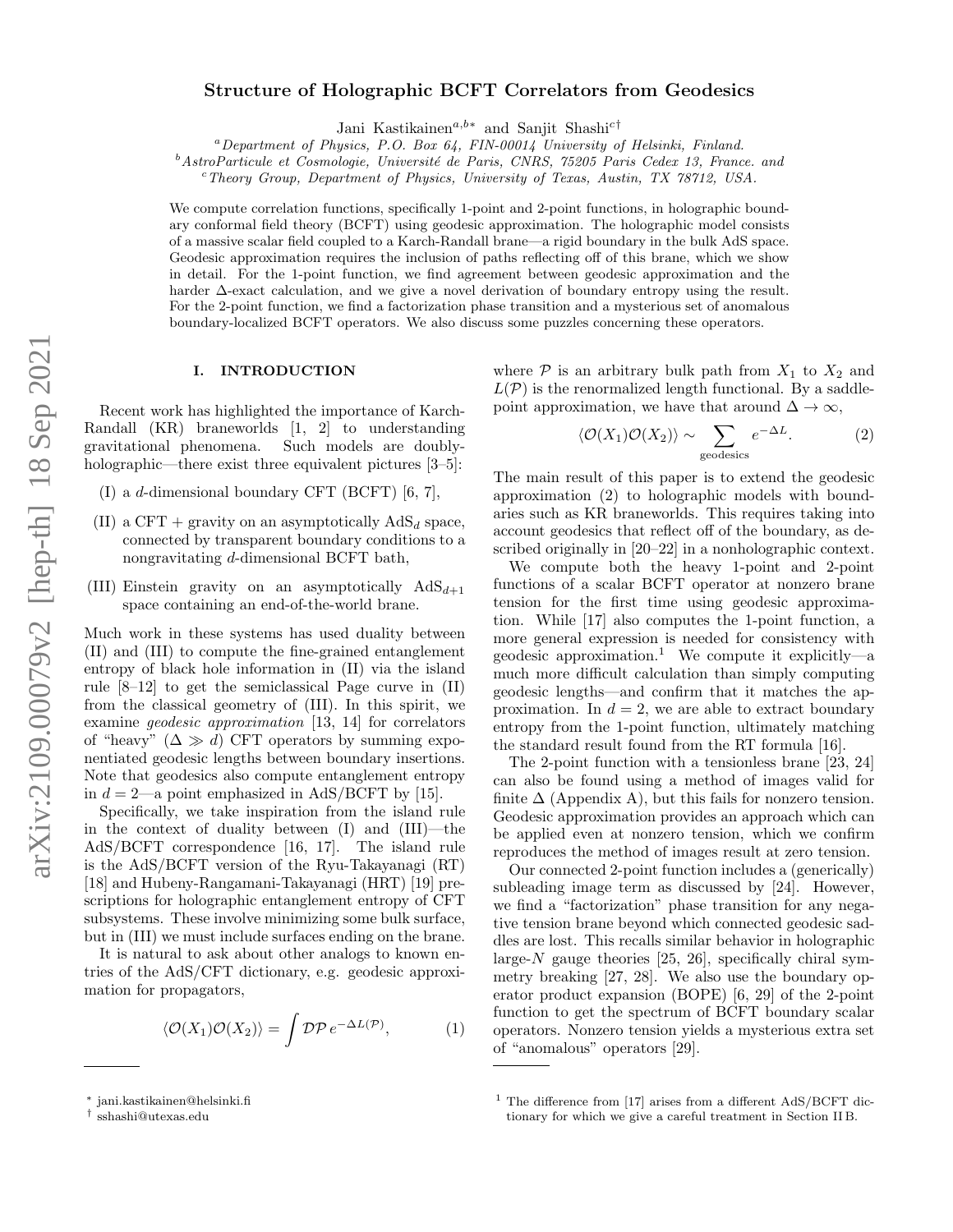# Structure of Holographic BCFT Correlators from Geodesics

Jani Kastikainen<sup>a,b[∗](#page-0-0)</sup> and Sanjit Shashi<sup>c[†](#page-0-1)</sup>

 ${}^a$ Department of Physics, P.O. Box 64, FIN-00014 University of Helsinki, Finland.

 $b$ AstroParticule et Cosmologie, Université de Paris, CNRS, 75205 Paris Cedex 13, France. and

 $c$ Theory Group, Department of Physics, University of Texas, Austin, TX 78712, USA.

We compute correlation functions, specifically 1-point and 2-point functions, in holographic boundary conformal field theory (BCFT) using geodesic approximation. The holographic model consists of a massive scalar field coupled to a Karch-Randall brane—a rigid boundary in the bulk AdS space. Geodesic approximation requires the inclusion of paths reflecting off of this brane, which we show in detail. For the 1-point function, we find agreement between geodesic approximation and the harder ∆-exact calculation, and we give a novel derivation of boundary entropy using the result. For the 2-point function, we find a factorization phase transition and a mysterious set of anomalous boundary-localized BCFT operators. We also discuss some puzzles concerning these operators.

#### I. INTRODUCTION

Recent work has highlighted the importance of Karch-Randall (KR) braneworlds [\[1,](#page-16-0) [2\]](#page-16-1) to understanding gravitational phenomena. Such models are doubly-holographic—there exist three equivalent pictures [\[3–](#page-17-0)[5\]](#page-17-1):

- (I) a d-dimensional boundary CFT (BCFT) [\[6,](#page-17-2) [7\]](#page-17-3),
- (II) a CFT + gravity on an asymptotically  $AdS_d$  space, connected by transparent boundary conditions to a nongravitating d-dimensional BCFT bath,
- (III) Einstein gravity on an asymptotically  $AdS_{d+1}$ space containing an end-of-the-world brane.

Much work in these systems has used duality between (II) and (III) to compute the fine-grained entanglement entropy of black hole information in (II) via the island rule [\[8](#page-17-4)[–12\]](#page-17-5) to get the semiclassical Page curve in (II) from the classical geometry of (III). In this spirit, we examine geodesic approximation [\[13,](#page-17-6) [14\]](#page-17-7) for correlators of "heavy"  $(\Delta \gg d)$  CFT operators by summing exponentiated geodesic lengths between boundary insertions. Note that geodesics also compute entanglement entropy in  $d = 2$ —a point emphasized in AdS/BCFT by [\[15\]](#page-17-8).

Specifically, we take inspiration from the island rule in the context of duality between (I) and (III)—the AdS/BCFT correspondence [\[16,](#page-17-9) [17\]](#page-17-10). The island rule is the AdS/BCFT version of the Ryu-Takayanagi (RT) [\[18\]](#page-17-11) and Hubeny-Rangamani-Takayanagi (HRT) [\[19\]](#page-17-12) prescriptions for holographic entanglement entropy of CFT subsystems. These involve minimizing some bulk surface, but in (III) we must include surfaces ending on the brane.

It is natural to ask about other analogs to known entries of the AdS/CFT dictionary, e.g. geodesic approximation for propagators,

$$
\langle \mathcal{O}(X_1)\mathcal{O}(X_2)\rangle = \int \mathcal{D}\mathcal{P} \, e^{-\Delta L(\mathcal{P})},\tag{1}
$$

where  $P$  is an arbitrary bulk path from  $X_1$  to  $X_2$  and  $L(\mathcal{P})$  is the renormalized length functional. By a saddlepoint approximation, we have that around  $\Delta \to \infty$ ,

<span id="page-0-2"></span>
$$
\langle \mathcal{O}(X_1)\mathcal{O}(X_2)\rangle \sim \sum_{\text{geodesics}} e^{-\Delta L}.
$$
 (2)

The main result of this paper is to extend the geodesic approximation [\(2\)](#page-0-2) to holographic models with boundaries such as KR braneworlds. This requires taking into account geodesics that reflect off of the boundary, as described originally in [\[20](#page-17-13)[–22\]](#page-17-14) in a nonholographic context.

We compute both the heavy 1-point and 2-point functions of a scalar BCFT operator at nonzero brane tension for the first time using geodesic approximation. While [\[17\]](#page-17-10) also computes the 1-point function, a more general expression is needed for consistency with geodesic approximation.<sup>[1](#page-0-3)</sup> We compute it explicitly—a much more difficult calculation than simply computing geodesic lengths—and confirm that it matches the approximation. In  $d = 2$ , we are able to extract boundary entropy from the 1-point function, ultimately matching the standard result found from the RT formula [\[16\]](#page-17-9).

The 2-point function with a tensionless brane [\[23,](#page-17-15) [24\]](#page-17-16) can also be found using a method of images valid for finite  $\Delta$  (Appendix [A\)](#page-11-0), but this fails for nonzero tension. Geodesic approximation provides an approach which can be applied even at nonzero tension, which we confirm reproduces the method of images result at zero tension.

Our connected 2-point function includes a (generically) subleading image term as discussed by [\[24\]](#page-17-16). However, we find a "factorization" phase transition for any negative tension brane beyond which connected geodesic saddles are lost. This recalls similar behavior in holographic large- $N$  gauge theories [\[25,](#page-17-17) [26\]](#page-17-18), specifically chiral symmetry breaking [\[27,](#page-17-19) [28\]](#page-17-20). We also use the boundary operator product expansion (BOPE) [\[6,](#page-17-2) [29\]](#page-17-21) of the 2-point function to get the spectrum of BCFT boundary scalar operators. Nonzero tension yields a mysterious extra set of "anomalous" operators [\[29\]](#page-17-21).

<span id="page-0-0"></span><sup>∗</sup> [jani.kastikainen@helsinki.fi](mailto:jani.kastikainen@helsinki.fi)

<span id="page-0-1"></span><sup>†</sup> [sshashi@utexas.edu](mailto:sshashi@utexas.edu)

<span id="page-0-3"></span><sup>&</sup>lt;sup>1</sup> The difference from [\[17\]](#page-17-10) arises from a different AdS/BCFT dictionary for which we give a careful treatment in Section [II B.](#page-2-0)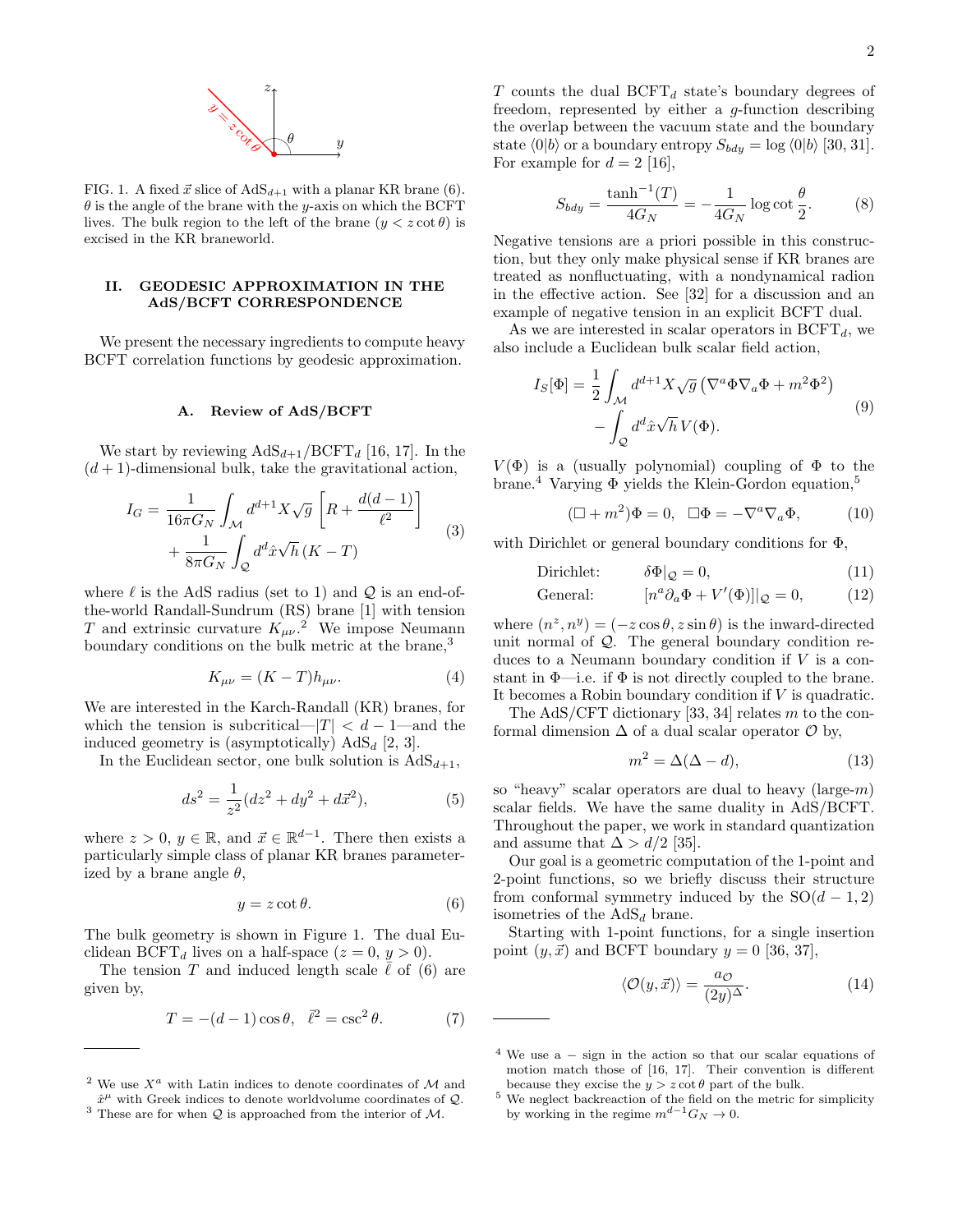

<span id="page-1-3"></span>FIG. 1. A fixed  $\vec{x}$  slice of  $AdS_{d+1}$  with a planar KR brane [\(6\)](#page-1-0).  $\theta$  is the angle of the brane with the y-axis on which the BCFT lives. The bulk region to the left of the brane  $(y < z \cot \theta)$  is excised in the KR braneworld.

## II. GEODESIC APPROXIMATION IN THE AdS/BCFT CORRESPONDENCE

We present the necessary ingredients to compute heavy BCFT correlation functions by geodesic approximation.

## A. Review of AdS/BCFT

We start by reviewing  $AdS_{d+1}/BCFT_d$  [\[16,](#page-17-9) [17\]](#page-17-10). In the  $(d+1)$ -dimensional bulk, take the gravitational action,

$$
I_G = \frac{1}{16\pi G_N} \int_{\mathcal{M}} d^{d+1} X \sqrt{g} \left[ R + \frac{d(d-1)}{\ell^2} \right] + \frac{1}{8\pi G_N} \int_{\mathcal{Q}} d^d \hat{x} \sqrt{h} \left( K - T \right) \tag{3}
$$

where  $\ell$  is the AdS radius (set to 1) and  $\mathcal{Q}$  is an end-ofthe-world Randall-Sundrum (RS) brane [\[1\]](#page-16-0) with tension T and extrinsic curvature  $K_{\mu\nu}$ .<sup>[2](#page-1-1)</sup> We impose Neumann boundary conditions on the bulk metric at the brane,<sup>[3](#page-1-2)</sup>

<span id="page-1-10"></span>
$$
K_{\mu\nu} = (K - T)h_{\mu\nu}.\tag{4}
$$

We are interested in the Karch-Randall (KR) branes, for which the tension is subcritical— $|T| < d - 1$ —and the induced geometry is (asymptotically)  $AdS_d$  [\[2,](#page-16-1) [3\]](#page-17-0).

In the Euclidean sector, one bulk solution is  $AdS_{d+1}$ ,

<span id="page-1-8"></span>
$$
ds^{2} = \frac{1}{z^{2}}(dz^{2} + dy^{2} + d\vec{x}^{2}),
$$
\n(5)

where  $z > 0$ ,  $y \in \mathbb{R}$ , and  $\vec{x} \in \mathbb{R}^{d-1}$ . There then exists a particularly simple class of planar KR branes parameterized by a brane angle  $\theta$ ,

<span id="page-1-0"></span>
$$
y = z \cot \theta. \tag{6}
$$

The bulk geometry is shown in Figure [1.](#page-1-3) The dual Euclidean BCFT<sub>d</sub> lives on a half-space  $(z = 0, y > 0)$ .

The tension T and induced length scale  $\ell$  of [\(6\)](#page-1-0) are given by,

$$
T = -(d-1)\cos\theta, \quad \bar{\ell}^2 = \csc^2\theta. \tag{7}
$$

 $T$  counts the dual  $\mathrm{BCFT}_d$  state's boundary degrees of freedom, represented by either a g-function describing the overlap between the vacuum state and the boundary state  $\langle 0|b \rangle$  or a boundary entropy  $S_{bdy} = \log \langle 0|b \rangle$  [\[30,](#page-17-22) [31\]](#page-17-23). For example for  $d = 2$  [\[16\]](#page-17-9),

<span id="page-1-9"></span>
$$
S_{bdy} = \frac{\tanh^{-1}(T)}{4G_N} = -\frac{1}{4G_N} \log \cot \frac{\theta}{2}.
$$
 (8)

Negative tensions are a priori possible in this construction, but they only make physical sense if KR branes are treated as nonfluctuating, with a nondynamical radion in the effective action. See [\[32\]](#page-17-24) for a discussion and an example of negative tension in an explicit BCFT dual.

As we are interested in scalar operators in  $\mathrm{BCFT}_d$ , we also include a Euclidean bulk scalar field action,

$$
I_S[\Phi] = \frac{1}{2} \int_{\mathcal{M}} d^{d+1} X \sqrt{g} \left( \nabla^a \Phi \nabla_a \Phi + m^2 \Phi^2 \right) - \int_{\mathcal{Q}} d^d \hat{x} \sqrt{h} V(\Phi).
$$
 (9)

 $V(\Phi)$  is a (usually polynomial) coupling of  $\Phi$  to the brane.<sup>[4](#page-1-4)</sup> Varying  $\Phi$  yields the Klein-Gordon equation.<sup>[5](#page-1-5)</sup>

<span id="page-1-11"></span>
$$
(\Box + m^2)\Phi = 0, \ \ \Box \Phi = -\nabla^a \nabla_a \Phi, \tag{10}
$$

with Dirichlet or general boundary conditions for  $\Phi$ ,

Dirichlet: 
$$
\delta \Phi |_{\mathcal{Q}} = 0, \tag{11}
$$

$$
General: \t\t [n^a \partial_a \Phi + V'(\Phi)]|_{\mathcal{Q}} = 0, \t (12)
$$

where  $(n^z, n^y) = (-z \cos \theta, z \sin \theta)$  is the inward-directed unit normal of Q. The general boundary condition reduces to a Neumann boundary condition if  $V$  is a constant in  $\Phi$ —i.e. if  $\Phi$  is not directly coupled to the brane. It becomes a Robin boundary condition if  $V$  is quadratic.

The AdS/CFT dictionary [\[33,](#page-17-25) [34\]](#page-17-26) relates m to the conformal dimension  $\Delta$  of a dual scalar operator  $\mathcal O$  by,

<span id="page-1-7"></span>
$$
m^2 = \Delta(\Delta - d),\tag{13}
$$

so "heavy" scalar operators are dual to heavy  $(\text{large-}m)$ scalar fields. We have the same duality in AdS/BCFT. Throughout the paper, we work in standard quantization and assume that  $\Delta > d/2$  [\[35\]](#page-17-27).

Our goal is a geometric computation of the 1-point and 2-point functions, so we briefly discuss their structure from conformal symmetry induced by the  $SO(d-1, 2)$ isometries of the  $AdS_d$  brane.

Starting with 1-point functions, for a single insertion point  $(y, \vec{x})$  and BCFT boundary  $y = 0$  [\[36,](#page-17-28) [37\]](#page-17-29),

<span id="page-1-6"></span>
$$
\langle \mathcal{O}(y,\vec{x}) \rangle = \frac{a_{\mathcal{O}}}{(2y)^{\Delta}}.
$$
 (14)

<span id="page-1-1"></span><sup>&</sup>lt;sup>2</sup> We use  $X^a$  with Latin indices to denote coordinates of M and  $\hat{x}^{\mu}$  with Greek indices to denote worldvolume coordinates of  $\mathcal{Q}$ .

<span id="page-1-2"></span><sup>&</sup>lt;sup>3</sup> These are for when  $Q$  is approached from the interior of  $M$ .

<span id="page-1-4"></span><sup>&</sup>lt;sup>4</sup> We use a  $-$  sign in the action so that our scalar equations of motion match those of [\[16,](#page-17-9) [17\]](#page-17-10). Their convention is different because they excise the  $y > z \cot \theta$  part of the bulk.

<span id="page-1-5"></span> $^5$  We neglect backreaction of the field on the metric for simplicity by working in the regime  $m^{d-1}G_N \to 0$ .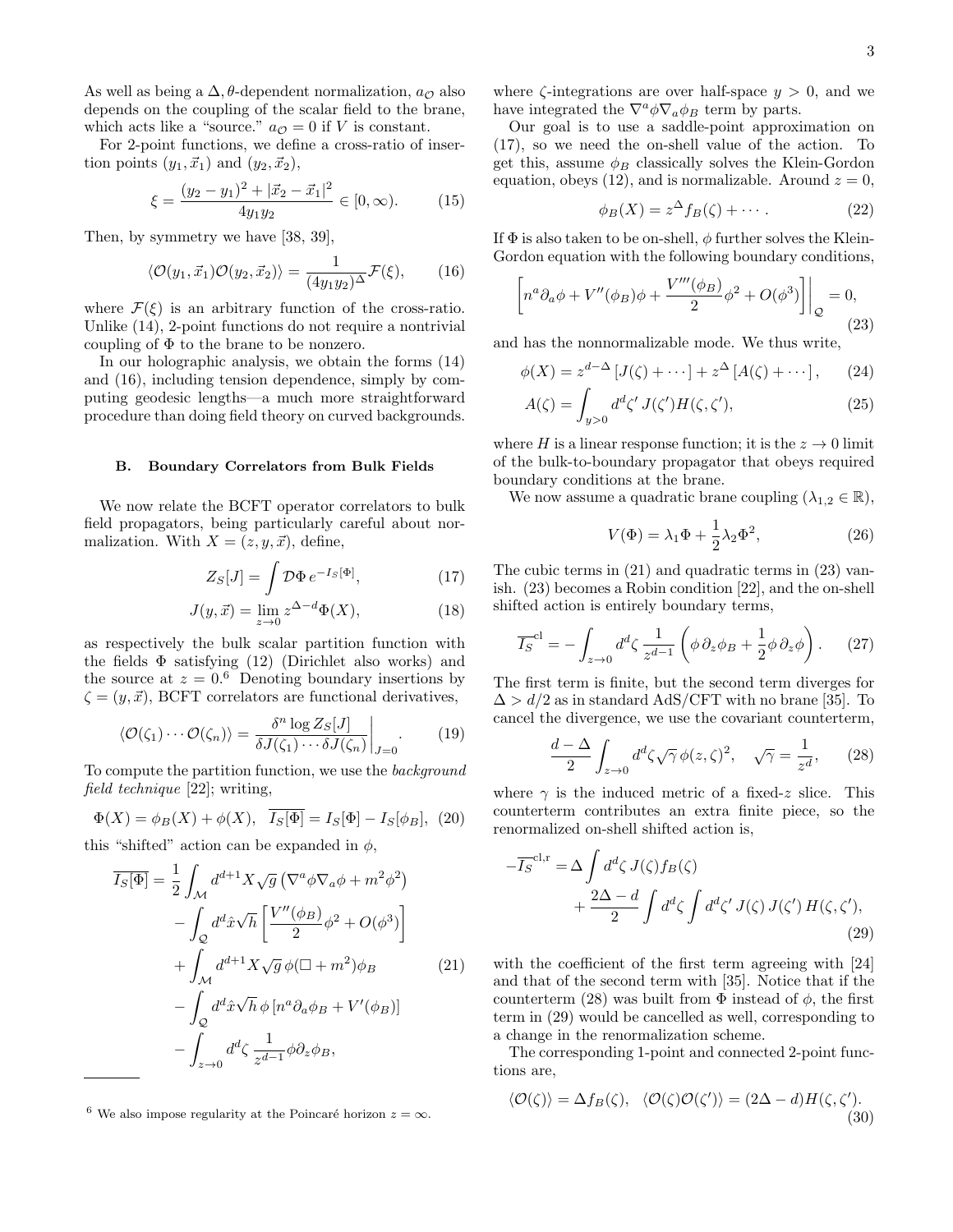As well as being a  $\Delta$ ,  $\theta$ -dependent normalization,  $a_{\mathcal{O}}$  also depends on the coupling of the scalar field to the brane, which acts like a "source."  $a_{\mathcal{O}} = 0$  if V is constant.

For 2-point functions, we define a cross-ratio of insertion points  $(y_1, \vec{x}_1)$  and  $(y_2, \vec{x}_2)$ ,

<span id="page-2-11"></span>
$$
\xi = \frac{(y_2 - y_1)^2 + |\vec{x}_2 - \vec{x}_1|^2}{4y_1y_2} \in [0, \infty). \tag{15}
$$

Then, by symmetry we have [\[38,](#page-17-30) [39\]](#page-17-31),

<span id="page-2-1"></span>
$$
\langle \mathcal{O}(y_1, \vec{x}_1) \mathcal{O}(y_2, \vec{x}_2) \rangle = \frac{1}{(4y_1y_2)^{\Delta}} \mathcal{F}(\xi), \qquad (16)
$$

where  $\mathcal{F}(\xi)$  is an arbitrary function of the cross-ratio. Unlike [\(14\)](#page-1-6), 2-point functions do not require a nontrivial coupling of  $\Phi$  to the brane to be nonzero.

In our holographic analysis, we obtain the forms [\(14\)](#page-1-6) and [\(16\)](#page-2-1), including tension dependence, simply by computing geodesic lengths—a much more straightforward procedure than doing field theory on curved backgrounds.

#### <span id="page-2-0"></span>B. Boundary Correlators from Bulk Fields

We now relate the BCFT operator correlators to bulk field propagators, being particularly careful about normalization. With  $X = (z, y, \vec{x})$ , define,

$$
Z_S[J] = \int \mathcal{D}\Phi \, e^{-I_S[\Phi]},\tag{17}
$$

$$
J(y, \vec{x}) = \lim_{z \to 0} z^{\Delta - d} \Phi(X), \tag{18}
$$

as respectively the bulk scalar partition function with the fields  $\Phi$  satisfying [\(12\)](#page-1-7) (Dirichlet also works) and the source at  $z = 0.6$  $z = 0.6$  Denoting boundary insertions by  $\zeta = (y, \vec{x})$ , BCFT correlators are functional derivatives,

$$
\langle \mathcal{O}(\zeta_1) \cdots \mathcal{O}(\zeta_n) \rangle = \frac{\delta^n \log Z_S[J]}{\delta J(\zeta_1) \cdots \delta J(\zeta_n)} \bigg|_{J=0}.
$$
 (19)

To compute the partition function, we use the background field technique [\[22\]](#page-17-14); writing,

$$
\Phi(X) = \phi_B(X) + \phi(X), \quad \overline{I_S[\Phi]} = I_S[\Phi] - I_S[\phi_B], \tag{20}
$$

this "shifted" action can be expanded in  $\phi$ ,

<span id="page-2-4"></span>
$$
\overline{I_S[\Phi]} = \frac{1}{2} \int_{\mathcal{M}} d^{d+1} X \sqrt{g} \left( \nabla^a \phi \nabla_a \phi + m^2 \phi^2 \right) \n- \int_{\mathcal{Q}} d^d \hat{x} \sqrt{h} \left[ \frac{V''(\phi_B)}{2} \phi^2 + O(\phi^3) \right] \n+ \int_{\mathcal{M}} d^{d+1} X \sqrt{g} \phi (\Box + m^2) \phi_B
$$
\n(21)\n
$$
- \int_{\mathcal{Q}} d^d \hat{x} \sqrt{h} \phi \left[ n^a \partial_a \phi_B + V'(\phi_B) \right] \n- \int_{z \to 0} d^d \zeta \frac{1}{z^{d-1}} \phi \partial_z \phi_B,
$$

<span id="page-2-2"></span><sup>6</sup> We also impose regularity at the Poincaré horizon  $z = \infty$ .

where  $\zeta$ -integrations are over half-space  $y > 0$ , and we have integrated the  $\nabla^a \phi \nabla_a \phi_B$  term by parts.

Our goal is to use a saddle-point approximation on [\(17\)](#page-2-3), so we need the on-shell value of the action. To get this, assume  $\phi_B$  classically solves the Klein-Gordon equation, obeys [\(12\)](#page-1-7), and is normalizable. Around  $z = 0$ ,

<span id="page-2-8"></span>
$$
\phi_B(X) = z^{\Delta} f_B(\zeta) + \cdots. \tag{22}
$$

If  $\Phi$  is also taken to be on-shell,  $\phi$  further solves the Klein-Gordon equation with the following boundary conditions,

<span id="page-2-5"></span>
$$
\left[ n^a \partial_a \phi + V''(\phi_B)\phi + \frac{V'''(\phi_B)}{2} \phi^2 + O(\phi^3) \right] \Big|_{\mathcal{Q}} = 0,
$$
\n(23)

and has the nonnormalizable mode. We thus write,

$$
\phi(X) = z^{d-\Delta} \left[ J(\zeta) + \cdots \right] + z^{\Delta} \left[ A(\zeta) + \cdots \right], \qquad (24)
$$

$$
A(\zeta) = \int_{y>0} d^d \zeta' J(\zeta') H(\zeta, \zeta'), \qquad (25)
$$

where H is a linear response function; it is the  $z \to 0$  limit of the bulk-to-boundary propagator that obeys required boundary conditions at the brane.

We now assume a quadratic brane coupling  $(\lambda_{1,2} \in \mathbb{R}),$ 

<span id="page-2-10"></span>
$$
V(\Phi) = \lambda_1 \Phi + \frac{1}{2} \lambda_2 \Phi^2, \qquad (26)
$$

<span id="page-2-3"></span>The cubic terms in [\(21\)](#page-2-4) and quadratic terms in [\(23\)](#page-2-5) vanish. [\(23\)](#page-2-5) becomes a Robin condition [\[22\]](#page-17-14), and the on-shell shifted action is entirely boundary terms,

$$
\overline{I_S}^{\text{cl}} = -\int_{z \to 0} d^d \zeta \, \frac{1}{z^{d-1}} \left( \phi \, \partial_z \phi_B + \frac{1}{2} \phi \, \partial_z \phi \right). \tag{27}
$$

The first term is finite, but the second term diverges for  $\Delta > d/2$  as in standard AdS/CFT with no brane [\[35\]](#page-17-27). To cancel the divergence, we use the covariant counterterm,

<span id="page-2-6"></span>
$$
\frac{d-\Delta}{2} \int_{z \to 0} d^d \zeta \sqrt{\gamma} \phi(z,\zeta)^2, \quad \sqrt{\gamma} = \frac{1}{z^d}, \qquad (28)
$$

where  $\gamma$  is the induced metric of a fixed-z slice. This counterterm contributes an extra finite piece, so the renormalized on-shell shifted action is,

<span id="page-2-7"></span>
$$
-\overline{I_S}^{\text{cl,r}} = \Delta \int d^d \zeta \, J(\zeta) f_B(\zeta)
$$
  
+ 
$$
\frac{2\Delta - d}{2} \int d^d \zeta \int d^d \zeta' \, J(\zeta) \, J(\zeta') \, H(\zeta, \zeta'), \tag{29}
$$

with the coefficient of the first term agreeing with [\[24\]](#page-17-16) and that of the second term with [\[35\]](#page-17-27). Notice that if the counterterm [\(28\)](#page-2-6) was built from  $\Phi$  instead of  $\phi$ , the first term in [\(29\)](#page-2-7) would be cancelled as well, corresponding to a change in the renormalization scheme.

The corresponding 1-point and connected 2-point functions are,

<span id="page-2-9"></span>
$$
\langle \mathcal{O}(\zeta) \rangle = \Delta f_B(\zeta), \quad \langle \mathcal{O}(\zeta) \mathcal{O}(\zeta') \rangle = (2\Delta - d)H(\zeta, \zeta'). \tag{30}
$$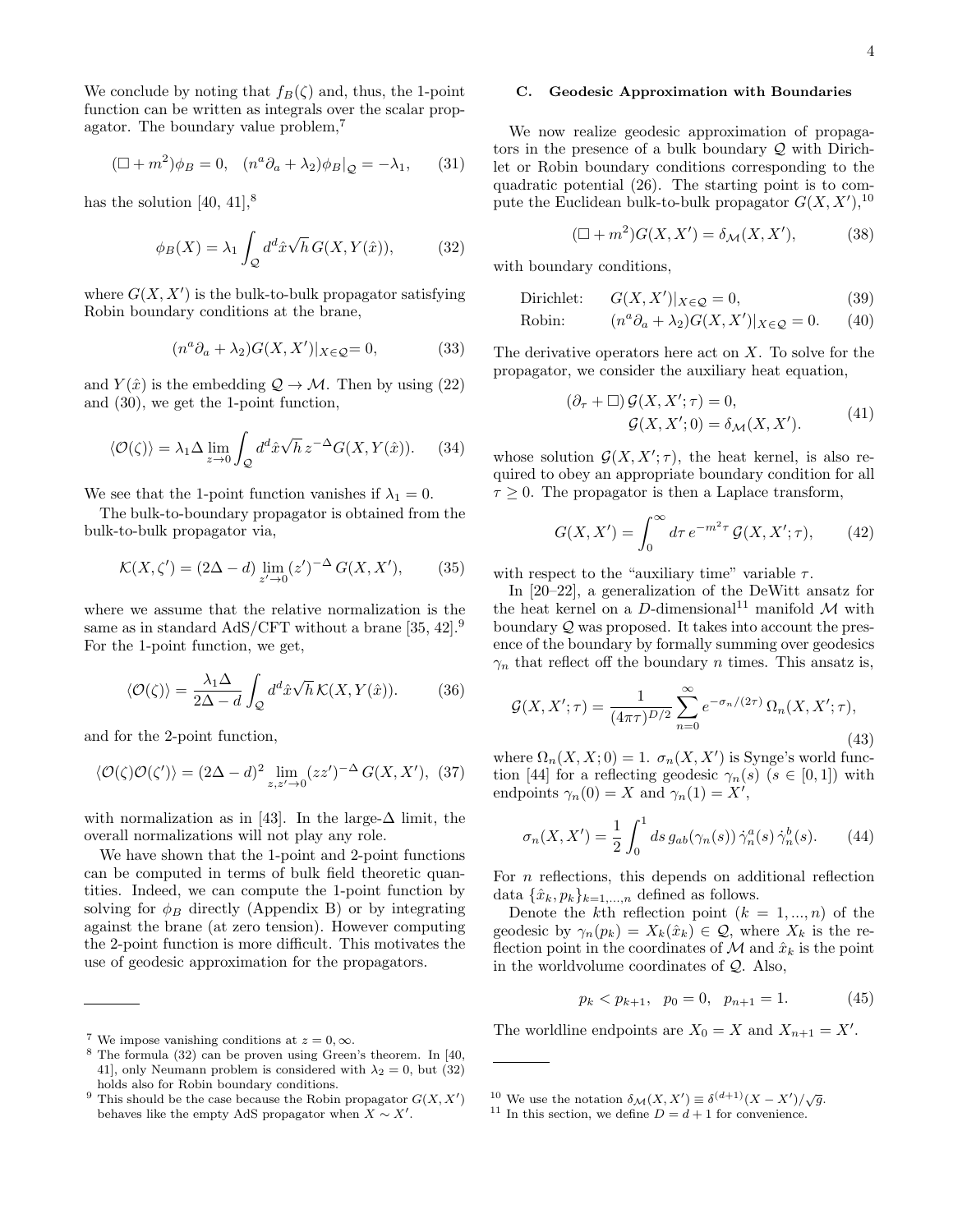We conclude by noting that  $f_B(\zeta)$  and, thus, the 1-point function can be written as integrals over the scalar propagator. The boundary value problem,[7](#page-3-0)

$$
(\Box + m^2)\phi_B = 0, \quad (n^a \partial_a + \lambda_2)\phi_B|_{\mathcal{Q}} = -\lambda_1,\qquad(31)
$$

has the solution  $[40, 41]$  $[40, 41]$ ,<sup>[8](#page-3-1)</sup>

<span id="page-3-3"></span>
$$
\phi_B(X) = \lambda_1 \int_{\mathcal{Q}} d^d \hat{x} \sqrt{h} \, G(X, Y(\hat{x})), \tag{32}
$$

where  $G(X, X')$  is the bulk-to-bulk propagator satisfying Robin boundary conditions at the brane,

$$
(n^a \partial_a + \lambda_2) G(X, X')|_{X \in \mathcal{Q}} = 0,\tag{33}
$$

and  $Y(\hat{x})$  is the embedding  $\mathcal{Q} \to \mathcal{M}$ . Then by using [\(22\)](#page-2-8) and [\(30\)](#page-2-9), we get the 1-point function,

<span id="page-3-11"></span>
$$
\langle \mathcal{O}(\zeta) \rangle = \lambda_1 \Delta \lim_{z \to 0} \int_{\mathcal{Q}} d^d \hat{x} \sqrt{h} \, z^{-\Delta} G(X, Y(\hat{x})). \tag{34}
$$

We see that the 1-point function vanishes if  $\lambda_1 = 0$ .

The bulk-to-boundary propagator is obtained from the bulk-to-bulk propagator via,

$$
\mathcal{K}(X,\zeta') = (2\Delta - d) \lim_{z' \to 0} (z')^{-\Delta} G(X,X'), \qquad (35)
$$

where we assume that the relative normalization is the same as in standard AdS/CFT without a brane [\[35,](#page-17-27) [42\]](#page-17-34).<sup>[9](#page-3-2)</sup> For the 1-point function, we get,

<span id="page-3-13"></span>
$$
\langle \mathcal{O}(\zeta) \rangle = \frac{\lambda_1 \Delta}{2\Delta - d} \int_{\mathcal{Q}} d^d \hat{x} \sqrt{h} \, \mathcal{K}(X, Y(\hat{x})). \tag{36}
$$

and for the 2-point function,

<span id="page-3-10"></span>
$$
\langle \mathcal{O}(\zeta)\mathcal{O}(\zeta')\rangle = (2\Delta - d)^2 \lim_{z,z'\to 0} (zz')^{-\Delta} G(X,X'), \tag{37}
$$

with normalization as in [\[43\]](#page-17-35). In the large- $\Delta$  limit, the overall normalizations will not play any role.

We have shown that the 1-point and 2-point functions can be computed in terms of bulk field theoretic quantities. Indeed, we can compute the 1-point function by solving for  $\phi_B$  directly (Appendix [B\)](#page-12-0) or by integrating against the brane (at zero tension). However computing the 2-point function is more difficult. This motivates the use of geodesic approximation for the propagators.

#### <span id="page-3-12"></span>C. Geodesic Approximation with Boundaries

We now realize geodesic approximation of propagators in the presence of a bulk boundary Q with Dirichlet or Robin boundary conditions corresponding to the quadratic potential [\(26\)](#page-2-10). The starting point is to compute the Euclidean bulk-to-bulk propagator  $G(X, X')$ , <sup>[10](#page-3-4)</sup>

<span id="page-3-8"></span><span id="page-3-7"></span>
$$
(\Box + m^2)G(X, X') = \delta_{\mathcal{M}}(X, X'),\tag{38}
$$

with boundary conditions,

Dirichlet: 
$$
G(X, X')|_{X \in \mathcal{Q}} = 0,
$$
 (39)

$$
Robin: \qquad (n^a \partial_a + \lambda_2) G(X, X')|_{X \in \mathcal{Q}} = 0. \qquad (40)
$$

The derivative operators here act on  $X$ . To solve for the propagator, we consider the auxiliary heat equation,

$$
(\partial_{\tau} + \Box) \mathcal{G}(X, X'; \tau) = 0,
$$
  

$$
\mathcal{G}(X, X'; 0) = \delta_{\mathcal{M}}(X, X').
$$
 (41)

whose solution  $G(X, X'; \tau)$ , the heat kernel, is also required to obey an appropriate boundary condition for all  $\tau \geq 0$ . The propagator is then a Laplace transform,

<span id="page-3-9"></span>
$$
G(X, X') = \int_0^\infty d\tau \, e^{-m^2 \tau} \mathcal{G}(X, X'; \tau), \qquad (42)
$$

with respect to the "auxiliary time" variable  $\tau$ .

In [\[20–](#page-17-13)[22\]](#page-17-14), a generalization of the DeWitt ansatz for the heat kernel on a  $D\text{-dimensional}^{11}$  $D\text{-dimensional}^{11}$  $D\text{-dimensional}^{11}$  manifold  $\mathcal M$  with boundary  $\mathcal{Q}$  was proposed. It takes into account the presence of the boundary by formally summing over geodesics  $\gamma_n$  that reflect off the boundary *n* times. This ansatz is,

<span id="page-3-6"></span>
$$
\mathcal{G}(X, X'; \tau) = \frac{1}{(4\pi\tau)^{D/2}} \sum_{n=0}^{\infty} e^{-\sigma_n/(2\tau)} \Omega_n(X, X'; \tau), \tag{43}
$$

where  $\Omega_n(X, X; 0) = 1$ .  $\sigma_n(X, X')$  is Synge's world func-tion [\[44\]](#page-17-36) for a reflecting geodesic  $\gamma_n(s)$  ( $s \in [0,1]$ ) with endpoints  $\gamma_n(0) = X$  and  $\gamma_n(1) = X'$ ,

$$
\sigma_n(X, X') = \frac{1}{2} \int_0^1 ds \, g_{ab}(\gamma_n(s)) \, \dot{\gamma}_n^a(s) \, \dot{\gamma}_n^b(s). \tag{44}
$$

For n reflections, this depends on additional reflection data  $\{\hat{x}_k, p_k\}_{k=1,\ldots,n}$  defined as follows.

Denote the k<sup>th</sup> reflection point  $(k = 1, ..., n)$  of the geodesic by  $\gamma_n(p_k) = X_k(\hat{x}_k) \in \mathcal{Q}$ , where  $X_k$  is the reflection point in the coordinates of  $\mathcal M$  and  $\hat x_k$  is the point in the worldvolume coordinates of Q. Also,

$$
p_k < p_{k+1}, \quad p_0 = 0, \quad p_{n+1} = 1. \tag{45}
$$

The worldline endpoints are  $X_0 = X$  and  $X_{n+1} = X'$ .

<span id="page-3-0"></span><sup>&</sup>lt;sup>7</sup> We impose vanishing conditions at  $z = 0, \infty$ .

<span id="page-3-1"></span><sup>8</sup> The formula [\(32\)](#page-3-3) can be proven using Green's theorem. In [\[40,](#page-17-32) [41\]](#page-17-33), only Neumann problem is considered with  $\lambda_2 = 0$ , but [\(32\)](#page-3-3) holds also for Robin boundary conditions.

<span id="page-3-2"></span><sup>&</sup>lt;sup>9</sup> This should be the case because the Robin propagator  $G(X, X')$ behaves like the empty AdS propagator when  $X \sim X'$ .

<span id="page-3-4"></span><sup>&</sup>lt;sup>10</sup> We use the notation  $\delta_{\mathcal{M}}(X, X') \equiv \delta^{(d+1)}(X - X') / \sqrt{g}$ .

<span id="page-3-5"></span><sup>&</sup>lt;sup>11</sup> In this section, we define  $D = d + 1$  for convenience.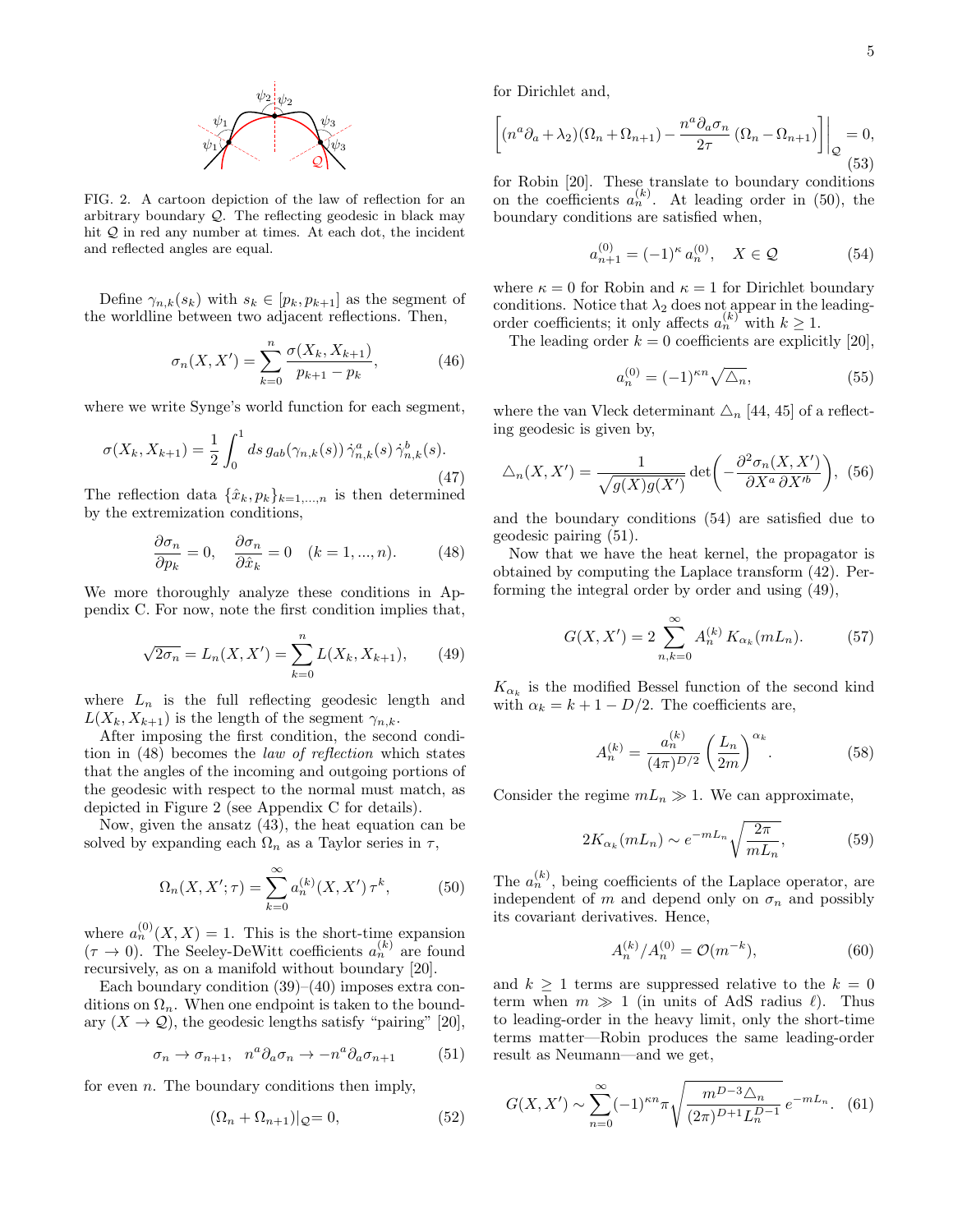

<span id="page-4-1"></span>FIG. 2. A cartoon depiction of the law of reflection for an arbitrary boundary  $Q$ . The reflecting geodesic in black may hit  $Q$  in red any number at times. At each dot, the incident and reflected angles are equal.

Define  $\gamma_{n,k}(s_k)$  with  $s_k \in [p_k, p_{k+1}]$  as the segment of the worldline between two adjacent reflections. Then,

$$
\sigma_n(X, X') = \sum_{k=0}^n \frac{\sigma(X_k, X_{k+1})}{p_{k+1} - p_k},
$$
\n(46)

where we write Synge's world function for each segment,

$$
\sigma(X_k, X_{k+1}) = \frac{1}{2} \int_0^1 ds \, g_{ab}(\gamma_{n,k}(s)) \, \dot{\gamma}_{n,k}^a(s) \, \dot{\gamma}_{n,k}^b(s).
$$
\n(47)

The reflection data  $\{\hat{x}_k, p_k\}_{k=1,\dots,n}$  is then determined by the extremization conditions,

<span id="page-4-0"></span>
$$
\frac{\partial \sigma_n}{\partial p_k} = 0, \quad \frac{\partial \sigma_n}{\partial \hat{x}_k} = 0 \quad (k = 1, ..., n). \tag{48}
$$

We more thoroughly analyze these conditions in Appendix [C.](#page-14-0) For now, note the first condition implies that,

<span id="page-4-5"></span>
$$
\sqrt{2\sigma_n} = L_n(X, X') = \sum_{k=0}^n L(X_k, X_{k+1}), \qquad (49)
$$

where  $L_n$  is the full reflecting geodesic length and  $L(X_k, X_{k+1})$  is the length of the segment  $\gamma_{n,k}$ .

After imposing the first condition, the second condition in [\(48\)](#page-4-0) becomes the law of reflection which states that the angles of the incoming and outgoing portions of the geodesic with respect to the normal must match, as depicted in Figure [2](#page-4-1) (see Appendix [C](#page-14-0) for details).

Now, given the ansatz [\(43\)](#page-3-6), the heat equation can be solved by expanding each  $\Omega_n$  as a Taylor series in  $\tau$ ,

<span id="page-4-2"></span>
$$
\Omega_n(X, X'; \tau) = \sum_{k=0}^{\infty} a_n^{(k)}(X, X') \,\tau^k,\tag{50}
$$

where  $a_n^{(0)}(X,X) = 1$ . This is the short-time expansion  $(\tau \to 0)$ . The Seeley-DeWitt coefficients  $a_n^{(k)}$  are found recursively, as on a manifold without boundary [\[20\]](#page-17-13).

Each boundary condition  $(39)$ – $(40)$  imposes extra conditions on  $\Omega_n$ . When one endpoint is taken to the boundary  $(X \to \mathcal{Q})$ , the geodesic lengths satisfy "pairing" [\[20\]](#page-17-13),

<span id="page-4-4"></span>
$$
\sigma_n \to \sigma_{n+1}, \quad n^a \partial_a \sigma_n \to -n^a \partial_a \sigma_{n+1} \tag{51}
$$

for even  $n$ . The boundary conditions then imply,

$$
(\Omega_n + \Omega_{n+1})|_{\mathcal{Q}} = 0,\tag{52}
$$

for Dirichlet and,

$$
\left[ (n^a \partial_a + \lambda_2)(\Omega_n + \Omega_{n+1}) - \frac{n^a \partial_a \sigma_n}{2\tau} (\Omega_n - \Omega_{n+1}) \right] \Big|_{\mathcal{Q}} = 0,
$$
\n(53)

for Robin [\[20\]](#page-17-13). These translate to boundary conditions on the coefficients  $a_n^{(k)}$ . At leading order in [\(50\)](#page-4-2), the boundary conditions are satisfied when,

<span id="page-4-3"></span>
$$
a_{n+1}^{(0)} = (-1)^{\kappa} a_n^{(0)}, \quad X \in \mathcal{Q}
$$
 (54)

where  $\kappa = 0$  for Robin and  $\kappa = 1$  for Dirichlet boundary conditions. Notice that  $\lambda_2$  does not appear in the leadingorder coefficients; it only affects  $a_n^{(k)}$  with  $k \geq 1$ .

The leading order  $k = 0$  coefficients are explicitly [\[20\]](#page-17-13),

$$
a_n^{(0)} = (-1)^{\kappa n} \sqrt{\Delta_n},\tag{55}
$$

where the van Vleck determinant  $\Delta_n$  [\[44,](#page-17-36) [45\]](#page-17-37) of a reflecting geodesic is given by,

$$
\Delta_n(X, X') = \frac{1}{\sqrt{g(X)g(X')}} \det \left( -\frac{\partial^2 \sigma_n(X, X')}{\partial X^a \partial X'^b} \right), \tag{56}
$$

and the boundary conditions [\(54\)](#page-4-3) are satisfied due to geodesic pairing [\(51\)](#page-4-4).

Now that we have the heat kernel, the propagator is obtained by computing the Laplace transform [\(42\)](#page-3-9). Performing the integral order by order and using [\(49\)](#page-4-5),

$$
G(X, X') = 2 \sum_{n,k=0}^{\infty} A_n^{(k)} K_{\alpha_k}(mL_n).
$$
 (57)

 $K_{\alpha_k}$  is the modified Bessel function of the second kind with  $\alpha_k = k + 1 - D/2$ . The coefficients are,

$$
A_n^{(k)} = \frac{a_n^{(k)}}{(4\pi)^{D/2}} \left(\frac{L_n}{2m}\right)^{\alpha_k}.
$$
 (58)

Consider the regime  $mL_n \gg 1$ . We can approximate,

$$
2K_{\alpha_k}(mL_n) \sim e^{-mL_n} \sqrt{\frac{2\pi}{mL_n}},\tag{59}
$$

The  $a_n^{(k)}$ , being coefficients of the Laplace operator, are independent of m and depend only on  $\sigma_n$  and possibly its covariant derivatives. Hence,

$$
A_n^{(k)}/A_n^{(0)} = \mathcal{O}(m^{-k}),\tag{60}
$$

and  $k \geq 1$  terms are suppressed relative to the  $k = 0$ term when  $m \gg 1$  (in units of AdS radius  $\ell$ ). Thus to leading-order in the heavy limit, only the short-time terms matter—Robin produces the same leading-order result as Neumann—and we get,

<span id="page-4-6"></span>
$$
G(X, X') \sim \sum_{n=0}^{\infty} (-1)^{\kappa n} \pi \sqrt{\frac{m^{D-3} \Delta_n}{(2\pi)^{D+1} L_n^{D-1}}} e^{-mL_n}.
$$
 (61)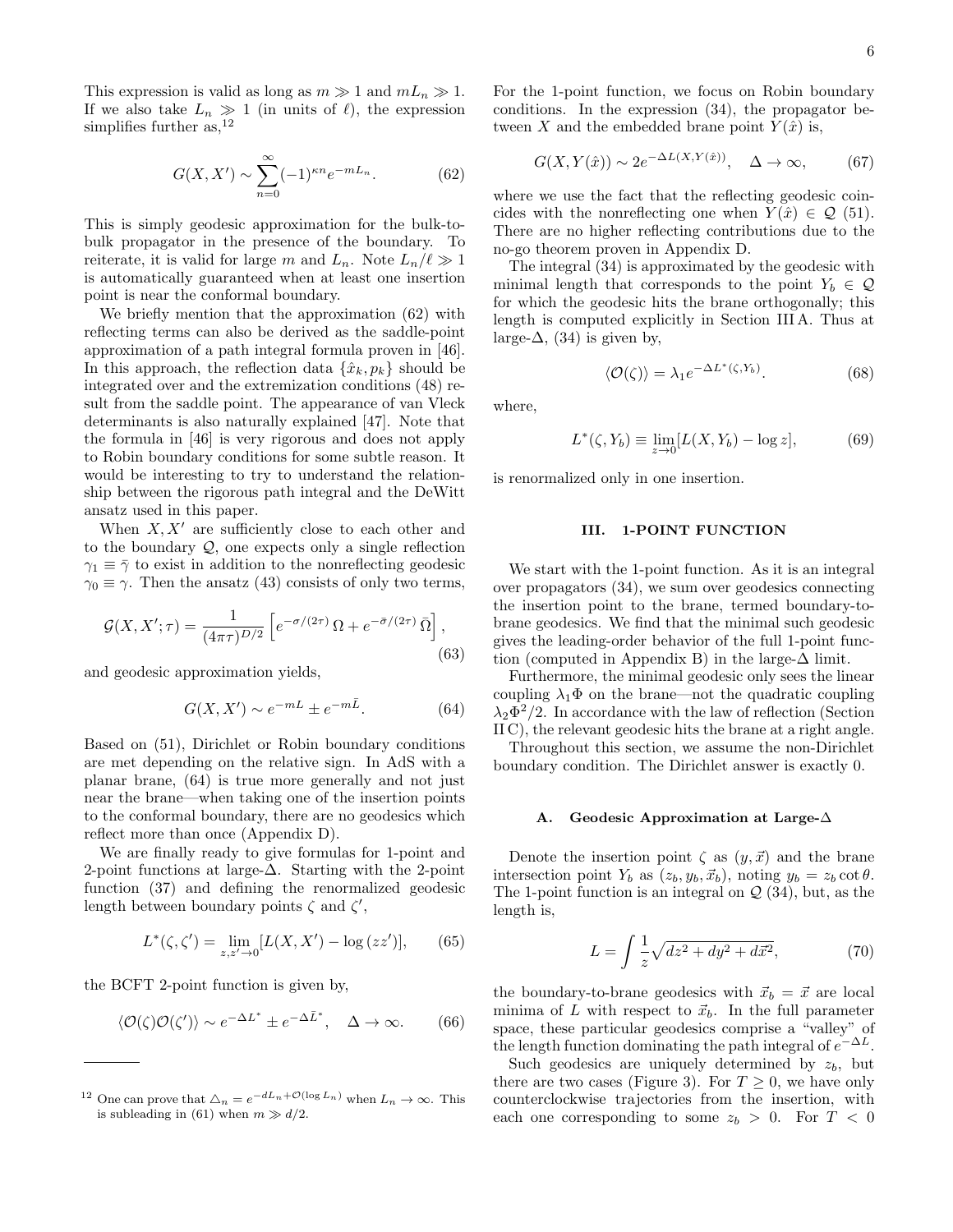This expression is valid as long as  $m \gg 1$  and  $mL_n \gg 1$ . If we also take  $L_n \gg 1$  (in units of  $\ell$ ), the expression simplifies further as,  $^{12}$  $^{12}$  $^{12}$ 

<span id="page-5-1"></span>
$$
G(X, X') \sim \sum_{n=0}^{\infty} (-1)^{\kappa n} e^{-mL_n}.
$$
 (62)

This is simply geodesic approximation for the bulk-tobulk propagator in the presence of the boundary. To reiterate, it is valid for large m and  $L_n$ . Note  $L_n/\ell \gg 1$ is automatically guaranteed when at least one insertion point is near the conformal boundary.

We briefly mention that the approximation [\(62\)](#page-5-1) with reflecting terms can also be derived as the saddle-point approximation of a path integral formula proven in [\[46\]](#page-17-38). In this approach, the reflection data  $\{\hat{x}_k, p_k\}$  should be integrated over and the extremization conditions [\(48\)](#page-4-0) result from the saddle point. The appearance of van Vleck determinants is also naturally explained [\[47\]](#page-17-39). Note that the formula in [\[46\]](#page-17-38) is very rigorous and does not apply to Robin boundary conditions for some subtle reason. It would be interesting to try to understand the relationship between the rigorous path integral and the DeWitt ansatz used in this paper.

When  $X, X'$  are sufficiently close to each other and to the boundary  $Q$ , one expects only a single reflection  $\gamma_1 \equiv \bar{\gamma}$  to exist in addition to the nonreflecting geodesic  $\gamma_0 \equiv \gamma$ . Then the ansatz [\(43\)](#page-3-6) consists of only two terms,

$$
\mathcal{G}(X, X'; \tau) = \frac{1}{(4\pi\tau)^{D/2}} \left[ e^{-\sigma/(2\tau)} \, \Omega + e^{-\bar{\sigma}/(2\tau)} \, \bar{\Omega} \right],\tag{63}
$$

and geodesic approximation yields,

<span id="page-5-2"></span>
$$
G(X, X') \sim e^{-mL} \pm e^{-m\bar{L}}.\tag{64}
$$

Based on [\(51\)](#page-4-4), Dirichlet or Robin boundary conditions are met depending on the relative sign. In AdS with a planar brane, [\(64\)](#page-5-2) is true more generally and not just near the brane—when taking one of the insertion points to the conformal boundary, there are no geodesics which reflect more than once (Appendix [D\)](#page-16-2).

We are finally ready to give formulas for 1-point and 2-point functions at large- $\Delta$ . Starting with the 2-point function [\(37\)](#page-3-10) and defining the renormalized geodesic length between boundary points  $\zeta$  and  $\zeta'$ ,

$$
L^*(\zeta, \zeta') = \lim_{z, z' \to 0} [L(X, X') - \log(zz')], \qquad (65)
$$

the BCFT 2-point function is given by,

$$
\langle \mathcal{O}(\zeta)\mathcal{O}(\zeta')\rangle \sim e^{-\Delta L^*} \pm e^{-\Delta L^*}, \quad \Delta \to \infty. \tag{66}
$$

For the 1-point function, we focus on Robin boundary conditions. In the expression [\(34\)](#page-3-11), the propagator between X and the embedded brane point  $Y(\hat{x})$  is,

$$
G(X, Y(\hat{x})) \sim 2e^{-\Delta L(X, Y(\hat{x}))}, \quad \Delta \to \infty,
$$
 (67)

where we use the fact that the reflecting geodesic coincides with the nonreflecting one when  $Y(\hat{x}) \in \mathcal{Q}(51)$  $Y(\hat{x}) \in \mathcal{Q}(51)$ . There are no higher reflecting contributions due to the no-go theorem proven in Appendix [D.](#page-16-2)

The integral [\(34\)](#page-3-11) is approximated by the geodesic with minimal length that corresponds to the point  $Y_b \in \mathcal{Q}$ for which the geodesic hits the brane orthogonally; this length is computed explicitly in Section [III A.](#page-5-3) Thus at large- $\Delta$ , [\(34\)](#page-3-11) is given by,

<span id="page-5-4"></span>
$$
\langle \mathcal{O}(\zeta) \rangle = \lambda_1 e^{-\Delta L^*(\zeta, Y_b)}.
$$
 (68)

where,

$$
L^*(\zeta, Y_b) \equiv \lim_{z \to 0} [L(X, Y_b) - \log z], \tag{69}
$$

is renormalized only in one insertion.

## III. 1-POINT FUNCTION

We start with the 1-point function. As it is an integral over propagators [\(34\)](#page-3-11), we sum over geodesics connecting the insertion point to the brane, termed boundary-tobrane geodesics. We find that the minimal such geodesic gives the leading-order behavior of the full 1-point func-tion (computed in Appendix [B\)](#page-12-0) in the large- $\Delta$  limit.

Furthermore, the minimal geodesic only sees the linear coupling  $\lambda_1 \Phi$  on the brane—not the quadratic coupling  $\lambda_2 \Phi^2/2$ . In accordance with the law of reflection (Section [II C\)](#page-3-12), the relevant geodesic hits the brane at a right angle.

Throughout this section, we assume the non-Dirichlet boundary condition. The Dirichlet answer is exactly 0.

#### <span id="page-5-3"></span>A. Geodesic Approximation at Large-∆

Denote the insertion point  $\zeta$  as  $(y, \vec{x})$  and the brane intersection point  $Y_b$  as  $(z_b, y_b, \vec{x}_b)$ , noting  $y_b = z_b \cot \theta$ . The 1-point function is an integral on  $\mathcal{Q}(34)$  $\mathcal{Q}(34)$ , but, as the length is,

$$
L = \int \frac{1}{z} \sqrt{dz^2 + dy^2 + d\vec{x}^2},
$$
 (70)

the boundary-to-brane geodesics with  $\vec{x}_b = \vec{x}$  are local minima of L with respect to  $\vec{x}_b$ . In the full parameter space, these particular geodesics comprise a "valley" of the length function dominating the path integral of  $e^{-\Delta L}$ .

Such geodesics are uniquely determined by  $z_b$ , but there are two cases (Figure [3\)](#page-6-0). For  $T \geq 0$ , we have only counterclockwise trajectories from the insertion, with each one corresponding to some  $z_b > 0$ . For  $T < 0$ 

<span id="page-5-0"></span><sup>&</sup>lt;sup>12</sup> One can prove that  $\Delta_n = e^{-dL_n + \mathcal{O}(\log L_n)}$  when  $L_n \to \infty$ . This is subleading in [\(61\)](#page-4-6) when  $m \gg d/2$ .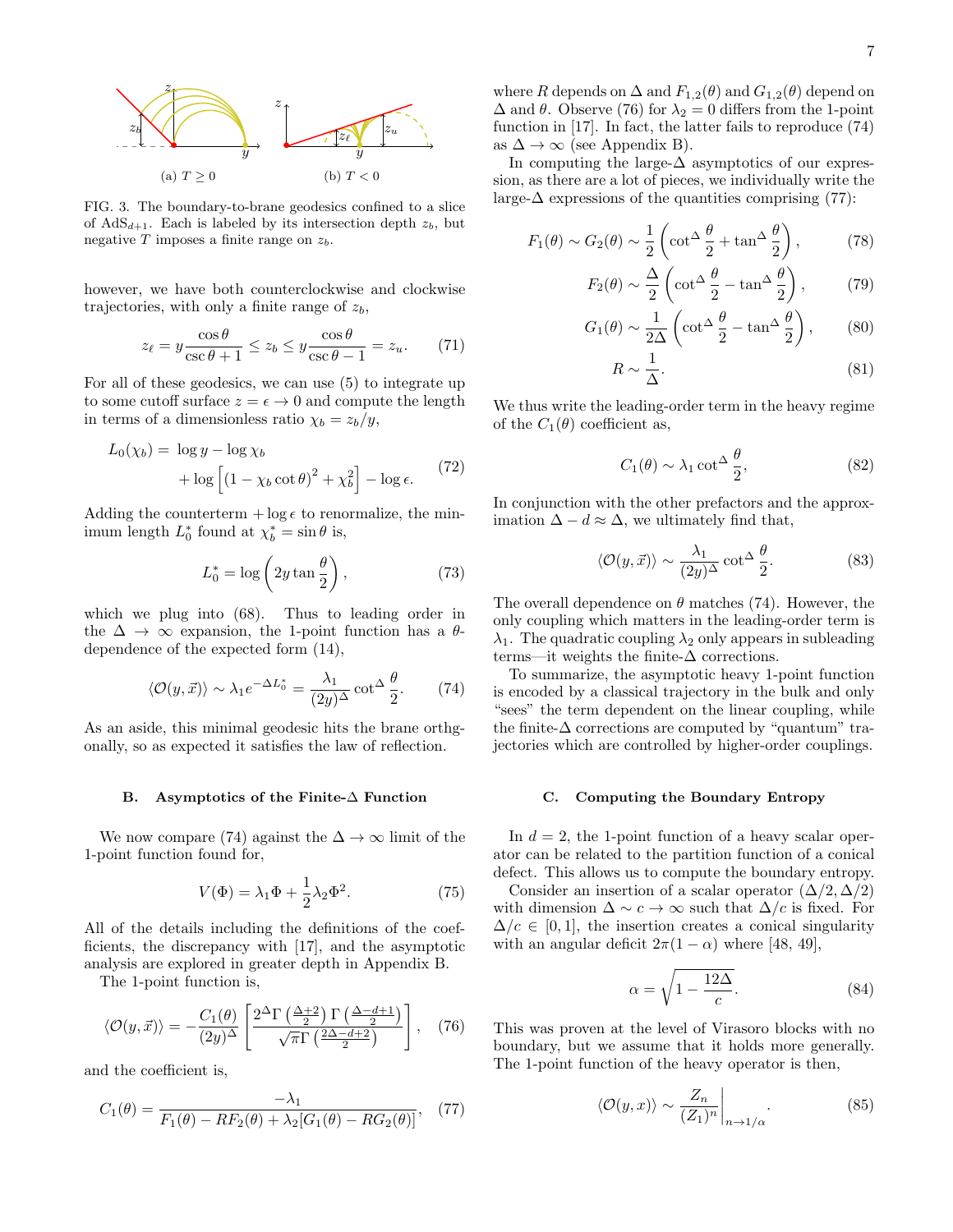

<span id="page-6-0"></span>FIG. 3. The boundary-to-brane geodesics confined to a slice of  $AdS_{d+1}$ . Each is labeled by its intersection depth  $z_b$ , but negative  $T$  imposes a finite range on  $z_b$ .

however, we have both counterclockwise and clockwise trajectories, with only a finite range of  $z<sub>b</sub>$ ,

<span id="page-6-6"></span>
$$
z_{\ell} = y \frac{\cos \theta}{\csc \theta + 1} \le z_b \le y \frac{\cos \theta}{\csc \theta - 1} = z_u.
$$
 (71)

For all of these geodesics, we can use [\(5\)](#page-1-8) to integrate up to some cutoff surface  $z = \epsilon \rightarrow 0$  and compute the length in terms of a dimensionless ratio  $\chi_b = z_b/y$ ,

$$
L_0(\chi_b) = \log y - \log \chi_b
$$
  
+ 
$$
\log \left[ \left( 1 - \chi_b \cot \theta \right)^2 + \chi_b^2 \right] - \log \epsilon.
$$
 (72)

Adding the counterterm  $+ \log \epsilon$  to renormalize, the minimum length  $L_0^*$  found at  $\chi_b^* = \sin \theta$  is,

$$
L_0^* = \log\left(2y\tan\frac{\theta}{2}\right),\tag{73}
$$

which we plug into [\(68\)](#page-5-4). Thus to leading order in the  $\Delta \rightarrow \infty$  expansion, the 1-point function has a  $\theta$ dependence of the expected form [\(14\)](#page-1-6),

<span id="page-6-1"></span>
$$
\langle \mathcal{O}(y,\vec{x}) \rangle \sim \lambda_1 e^{-\Delta L_0^*} = \frac{\lambda_1}{(2y)^{\Delta}} \cot^{\Delta} \frac{\theta}{2}.
$$
 (74)

As an aside, this minimal geodesic hits the brane orthgonally, so as expected it satisfies the law of reflection.

#### B. Asymptotics of the Finite-∆ Function

We now compare [\(74\)](#page-6-1) against the  $\Delta \to \infty$  limit of the 1-point function found for,

$$
V(\Phi) = \lambda_1 \Phi + \frac{1}{2} \lambda_2 \Phi^2.
$$
 (75)

All of the details including the definitions of the coefficients, the discrepancy with [\[17\]](#page-17-10), and the asymptotic analysis are explored in greater depth in Appendix [B.](#page-12-0)

The 1-point function is,

<span id="page-6-2"></span>
$$
\langle \mathcal{O}(y,\vec{x}) \rangle = -\frac{C_1(\theta)}{(2y)^{\Delta}} \left[ \frac{2^{\Delta} \Gamma\left(\frac{\Delta+2}{2}\right) \Gamma\left(\frac{\Delta-d+1}{2}\right)}{\sqrt{\pi} \Gamma\left(\frac{2\Delta-d+2}{2}\right)} \right], \quad (76)
$$

and the coefficient is,

<span id="page-6-3"></span>
$$
C_1(\theta) = \frac{-\lambda_1}{F_1(\theta) - RF_2(\theta) + \lambda_2[G_1(\theta) - RG_2(\theta)]},
$$
 (77)

where R depends on  $\Delta$  and  $F_{1,2}(\theta)$  and  $G_{1,2}(\theta)$  depend on  $\Delta$  and  $\theta$ . Observe [\(76\)](#page-6-2) for  $\lambda_2 = 0$  differs from the 1-point function in [\[17\]](#page-17-10). In fact, the latter fails to reproduce [\(74\)](#page-6-1) as  $\Delta \to \infty$  (see Appendix [B\)](#page-12-0).

In computing the large- $\Delta$  asymptotics of our expression, as there are a lot of pieces, we individually write the large- $\Delta$  expressions of the quantities comprising [\(77\)](#page-6-3):

$$
F_1(\theta) \sim G_2(\theta) \sim \frac{1}{2} \left( \cot^{\Delta} \frac{\theta}{2} + \tan^{\Delta} \frac{\theta}{2} \right),\tag{78}
$$

$$
F_2(\theta) \sim \frac{\Delta}{2} \left( \cot^{\Delta} \frac{\theta}{2} - \tan^{\Delta} \frac{\theta}{2} \right), \tag{79}
$$

$$
G_1(\theta) \sim \frac{1}{2\Delta} \left( \cot^{\Delta} \frac{\theta}{2} - \tan^{\Delta} \frac{\theta}{2} \right), \qquad (80)
$$

$$
R \sim \frac{1}{\Delta}.\tag{81}
$$

We thus write the leading-order term in the heavy regime of the  $C_1(\theta)$  coefficient as,

$$
C_1(\theta) \sim \lambda_1 \cot^{\Delta} \frac{\theta}{2},\tag{82}
$$

In conjunction with the other prefactors and the approximation  $\Delta - d \approx \Delta$ , we ultimately find that,

<span id="page-6-5"></span>
$$
\langle \mathcal{O}(y,\vec{x}) \rangle \sim \frac{\lambda_1}{(2y)^{\Delta}} \cot^{\Delta} \frac{\theta}{2}.
$$
 (83)

The overall dependence on  $\theta$  matches [\(74\)](#page-6-1). However, the only coupling which matters in the leading-order term is  $\lambda_1$ . The quadratic coupling  $\lambda_2$  only appears in subleading terms—it weights the finite- $\Delta$  corrections.

To summarize, the asymptotic heavy 1-point function is encoded by a classical trajectory in the bulk and only "sees" the term dependent on the linear coupling, while the finite- $\Delta$  corrections are computed by "quantum" trajectories which are controlled by higher-order couplings.

#### C. Computing the Boundary Entropy

In  $d = 2$ , the 1-point function of a heavy scalar operator can be related to the partition function of a conical defect. This allows us to compute the boundary entropy.

Consider an insertion of a scalar operator  $(\Delta/2, \Delta/2)$ with dimension  $\Delta \sim c \to \infty$  such that  $\Delta/c$  is fixed. For  $\Delta/c \in [0, 1]$ , the insertion creates a conical singularity with an angular deficit  $2\pi(1-\alpha)$  where [\[48,](#page-17-40) [49\]](#page-17-41),

$$
\alpha = \sqrt{1 - \frac{12\Delta}{c}}.\tag{84}
$$

This was proven at the level of Virasoro blocks with no boundary, but we assume that it holds more generally. The 1-point function of the heavy operator is then,

<span id="page-6-4"></span>
$$
\langle \mathcal{O}(y,x) \rangle \sim \frac{Z_n}{(Z_1)^n} \bigg|_{n \to 1/\alpha}.\tag{85}
$$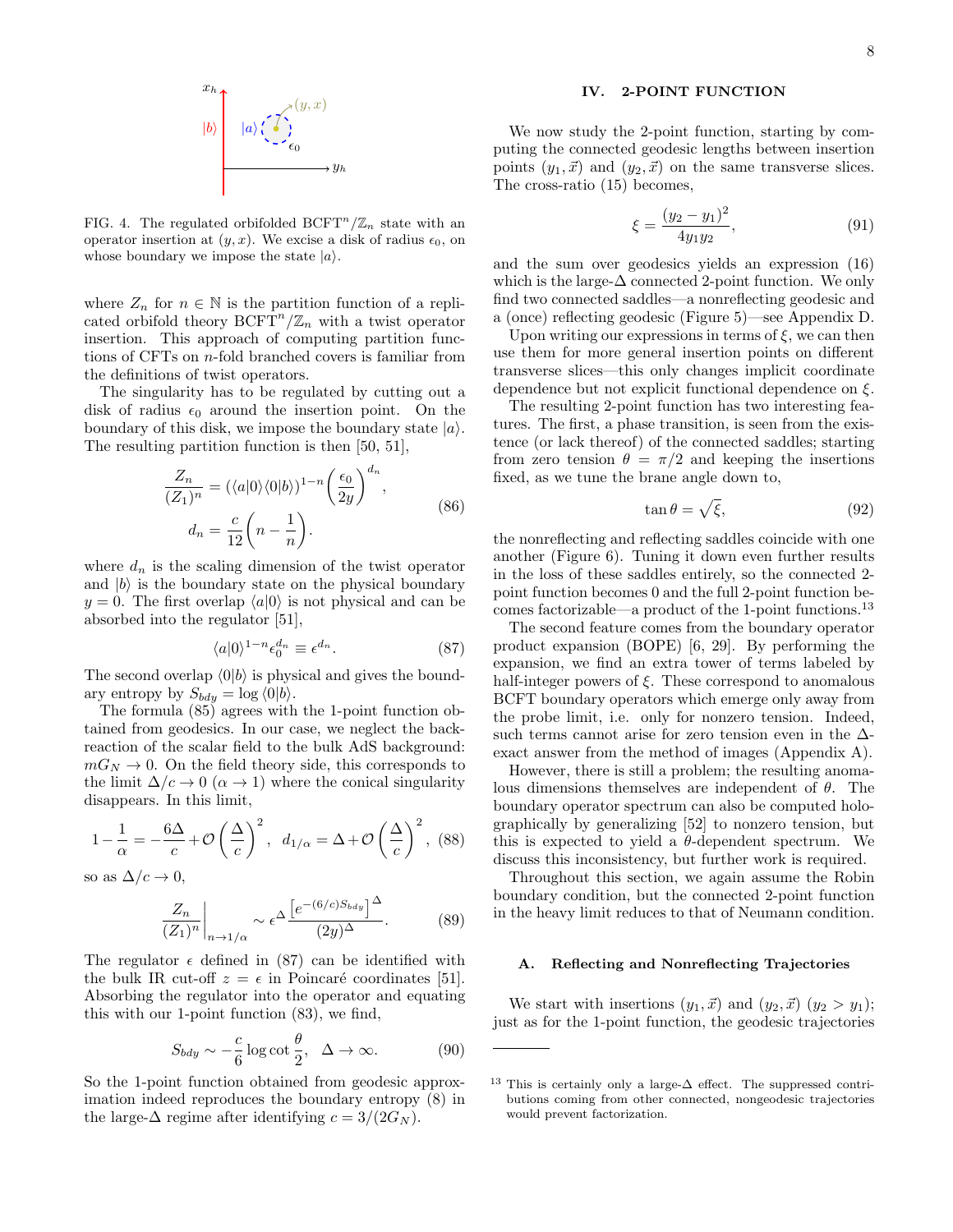

FIG. 4. The regulated orbifolded  $\mathrm{BCFT}^n/\mathbb{Z}_n$  state with an operator insertion at  $(y, x)$ . We excise a disk of radius  $\epsilon_0$ , on whose boundary we impose the state  $|a\rangle$ .

where  $Z_n$  for  $n \in \mathbb{N}$  is the partition function of a replicated orbifold theory  $\mathrm{BCFT}^n/\mathbb{Z}_n$  with a twist operator insertion. This approach of computing partition functions of CFTs on n-fold branched covers is familiar from the definitions of twist operators.

The singularity has to be regulated by cutting out a disk of radius  $\epsilon_0$  around the insertion point. On the boundary of this disk, we impose the boundary state  $|a\rangle$ . The resulting partition function is then [\[50,](#page-17-42) [51\]](#page-17-43),

$$
\frac{Z_n}{(Z_1)^n} = (\langle a|0\rangle \langle 0|b\rangle)^{1-n} \left(\frac{\epsilon_0}{2y}\right)^{d_n},
$$
  

$$
d_n = \frac{c}{12} \left(n - \frac{1}{n}\right).
$$
 (86)

where  $d_n$  is the scaling dimension of the twist operator and  $|b\rangle$  is the boundary state on the physical boundary  $y = 0$ . The first overlap  $\langle a|0\rangle$  is not physical and can be absorbed into the regulator [\[51\]](#page-17-43),

<span id="page-7-0"></span>
$$
\langle a|0\rangle^{1-n}\epsilon_0^{d_n} \equiv \epsilon^{d_n}.\tag{87}
$$

The second overlap  $\langle 0|b \rangle$  is physical and gives the boundary entropy by  $S_{bdy} = \log \langle 0|b \rangle$ .

The formula [\(85\)](#page-6-4) agrees with the 1-point function obtained from geodesics. In our case, we neglect the backreaction of the scalar field to the bulk AdS background:  $mG_N \to 0$ . On the field theory side, this corresponds to the limit  $\Delta/c \rightarrow 0 \ (\alpha \rightarrow 1)$  where the conical singularity disappears. In this limit,

$$
1 - \frac{1}{\alpha} = -\frac{6\Delta}{c} + \mathcal{O}\left(\frac{\Delta}{c}\right)^2, \ d_{1/\alpha} = \Delta + \mathcal{O}\left(\frac{\Delta}{c}\right)^2, \ (88)
$$

so as  $\Delta/c \rightarrow 0$ ,

$$
\frac{Z_n}{(Z_1)^n}\bigg|_{n\to 1/\alpha} \sim \epsilon^{\Delta} \frac{\left[e^{-(6/c)S_{bdy}}\right]^{\Delta}}{(2y)^{\Delta}}.\tag{89}
$$

The regulator  $\epsilon$  defined in [\(87\)](#page-7-0) can be identified with the bulk IR cut-off  $z = \epsilon$  in Poincaré coordinates [\[51\]](#page-17-43). Absorbing the regulator into the operator and equating this with our 1-point function [\(83\)](#page-6-5), we find,

$$
S_{bdy} \sim -\frac{c}{6} \log \cot \frac{\theta}{2}, \quad \Delta \to \infty. \tag{90}
$$

So the 1-point function obtained from geodesic approximation indeed reproduces the boundary entropy [\(8\)](#page-1-9) in the large- $\Delta$  regime after identifying  $c = 3/(2G_N)$ .

## IV. 2-POINT FUNCTION

We now study the 2-point function, starting by computing the connected geodesic lengths between insertion points  $(y_1, \vec{x})$  and  $(y_2, \vec{x})$  on the same transverse slices. The cross-ratio [\(15\)](#page-2-11) becomes,

<span id="page-7-2"></span>
$$
\xi = \frac{(y_2 - y_1)^2}{4y_1y_2},\tag{91}
$$

and the sum over geodesics yields an expression [\(16\)](#page-2-1) which is the large- $\Delta$  connected 2-point function. We only find two connected saddles—a nonreflecting geodesic and a (once) reflecting geodesic (Figure [5\)](#page-8-0)—see Appendix [D.](#page-16-2)

Upon writing our expressions in terms of  $\xi$ , we can then use them for more general insertion points on different transverse slices—this only changes implicit coordinate dependence but not explicit functional dependence on  $\xi$ .

The resulting 2-point function has two interesting features. The first, a phase transition, is seen from the existence (or lack thereof) of the connected saddles; starting from zero tension  $\theta = \pi/2$  and keeping the insertions fixed, as we tune the brane angle down to,

$$
\tan \theta = \sqrt{\xi},\tag{92}
$$

the nonreflecting and reflecting saddles coincide with one another (Figure [6\)](#page-8-1). Tuning it down even further results in the loss of these saddles entirely, so the connected 2 point function becomes 0 and the full 2-point function becomes factorizable—a product of the 1-point functions.[13](#page-7-1)

The second feature comes from the boundary operator product expansion (BOPE) [\[6,](#page-17-2) [29\]](#page-17-21). By performing the expansion, we find an extra tower of terms labeled by half-integer powers of  $\xi$ . These correspond to anomalous BCFT boundary operators which emerge only away from the probe limit, i.e. only for nonzero tension. Indeed, such terms cannot arise for zero tension even in the  $\Delta$ exact answer from the method of images (Appendix [A\)](#page-11-0).

However, there is still a problem; the resulting anomalous dimensions themselves are independent of  $\theta$ . The boundary operator spectrum can also be computed holographically by generalizing [\[52\]](#page-17-44) to nonzero tension, but this is expected to yield a  $\theta$ -dependent spectrum. We discuss this inconsistency, but further work is required.

Throughout this section, we again assume the Robin boundary condition, but the connected 2-point function in the heavy limit reduces to that of Neumann condition.

## A. Reflecting and Nonreflecting Trajectories

We start with insertions  $(y_1, \vec{x})$  and  $(y_2, \vec{x})$   $(y_2 > y_1);$ just as for the 1-point function, the geodesic trajectories

<span id="page-7-1"></span><sup>&</sup>lt;sup>13</sup> This is certainly only a large- $\Delta$  effect. The suppressed contributions coming from other connected, nongeodesic trajectories would prevent factorization.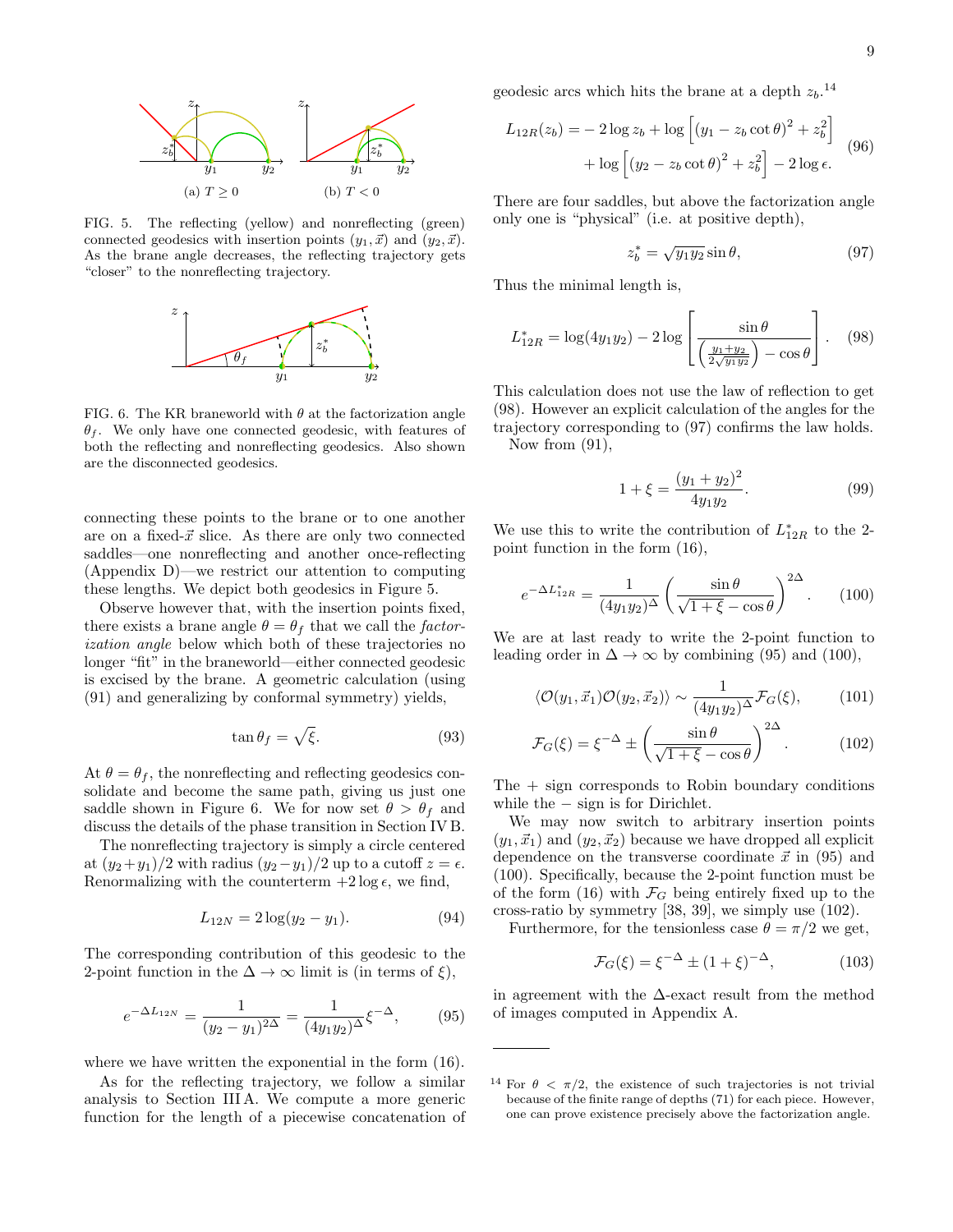

<span id="page-8-0"></span>FIG. 5. The reflecting (yellow) and nonreflecting (green) connected geodesics with insertion points  $(y_1, \vec{x})$  and  $(y_2, \vec{x})$ . As the brane angle decreases, the reflecting trajectory gets "closer" to the nonreflecting trajectory.



<span id="page-8-1"></span>FIG. 6. The KR braneworld with  $\theta$  at the factorization angle  $\theta_f$ . We only have one connected geodesic, with features of both the reflecting and nonreflecting geodesics. Also shown are the disconnected geodesics.

connecting these points to the brane or to one another are on a fixed- $\vec{x}$  slice. As there are only two connected saddles—one nonreflecting and another once-reflecting (Appendix [D\)](#page-16-2)—we restrict our attention to computing these lengths. We depict both geodesics in Figure [5.](#page-8-0)

Observe however that, with the insertion points fixed, there exists a brane angle  $\theta = \theta_f$  that we call the *factor*ization angle below which both of these trajectories no longer "fit" in the braneworld—either connected geodesic is excised by the brane. A geometric calculation (using [\(91\)](#page-7-2) and generalizing by conformal symmetry) yields,

<span id="page-8-8"></span>
$$
\tan \theta_f = \sqrt{\xi}.\tag{93}
$$

At  $\theta = \theta_f$ , the nonreflecting and reflecting geodesics consolidate and become the same path, giving us just one saddle shown in Figure [6.](#page-8-1) We for now set  $\theta > \theta_f$  and discuss the details of the phase transition in Section [IV B.](#page-9-0)

The nonreflecting trajectory is simply a circle centered at  $(y_2+y_1)/2$  with radius  $(y_2-y_1)/2$  up to a cutoff  $z = \epsilon$ . Renormalizing with the counterterm  $+2 \log \epsilon$ , we find,

$$
L_{12N} = 2\log(y_2 - y_1). \tag{94}
$$

The corresponding contribution of this geodesic to the 2-point function in the  $\Delta \to \infty$  limit is (in terms of  $\xi$ ),

<span id="page-8-5"></span>
$$
e^{-\Delta L_{12N}} = \frac{1}{(y_2 - y_1)^{2\Delta}} = \frac{1}{(4y_1y_2)^{\Delta}} \xi^{-\Delta}, \quad (95)
$$

where we have written the exponential in the form  $(16)$ .

As for the reflecting trajectory, we follow a similar analysis to Section [III A.](#page-5-3) We compute a more generic function for the length of a piecewise concatenation of geodesic arcs which hits the brane at a depth  $z_b$ .<sup>[14](#page-8-2)</sup>

$$
L_{12R}(z_b) = -2\log z_b + \log \left[ (y_1 - z_b \cot \theta)^2 + z_b^2 \right] + \log \left[ (y_2 - z_b \cot \theta)^2 + z_b^2 \right] - 2\log \epsilon.
$$
 (96)

There are four saddles, but above the factorization angle only one is "physical" (i.e. at positive depth),

<span id="page-8-4"></span><span id="page-8-3"></span>
$$
z_b^* = \sqrt{y_1 y_2} \sin \theta, \qquad (97)
$$

Thus the minimal length is,

$$
L_{12R}^* = \log(4y_1y_2) - 2\log\left[\frac{\sin\theta}{\left(\frac{y_1+y_2}{2\sqrt{y_1y_2}}\right) - \cos\theta}\right].
$$
 (98)

This calculation does not use the law of reflection to get [\(98\)](#page-8-3). However an explicit calculation of the angles for the trajectory corresponding to [\(97\)](#page-8-4) confirms the law holds. Now from [\(91\)](#page-7-2),

$$
1 + \xi = \frac{(y_1 + y_2)^2}{4y_1y_2}.
$$
\n(99)

We use this to write the contribution of  $L_{12R}^*$  to the 2point function in the form [\(16\)](#page-2-1),

<span id="page-8-6"></span>
$$
e^{-\Delta L_{12R}^*} = \frac{1}{(4y_1y_2)^{\Delta}} \left(\frac{\sin \theta}{\sqrt{1+\xi} - \cos \theta}\right)^{2\Delta}.
$$
 (100)

We are at last ready to write the 2-point function to leading order in  $\Delta \rightarrow \infty$  by combining [\(95\)](#page-8-5) and [\(100\)](#page-8-6),

$$
\langle \mathcal{O}(y_1, \vec{x}_1) \mathcal{O}(y_2, \vec{x}_2) \rangle \sim \frac{1}{(4y_1y_2)^{\Delta}} \mathcal{F}_G(\xi), \quad (101)
$$

<span id="page-8-7"></span>
$$
\mathcal{F}_G(\xi) = \xi^{-\Delta} \pm \left(\frac{\sin \theta}{\sqrt{1 + \xi} - \cos \theta}\right)^{2\Delta}.
$$
 (102)

 $The + sign corresponds to Robin boundary conditions$ while the  $-$  sign is for Dirichlet.

We may now switch to arbitrary insertion points  $(y_1, \vec{x}_1)$  and  $(y_2, \vec{x}_2)$  because we have dropped all explicit dependence on the transverse coordinate  $\vec{x}$  in [\(95\)](#page-8-5) and [\(100\)](#page-8-6). Specifically, because the 2-point function must be of the form [\(16\)](#page-2-1) with  $\mathcal{F}_G$  being entirely fixed up to the cross-ratio by symmetry [\[38,](#page-17-30) [39\]](#page-17-31), we simply use [\(102\)](#page-8-7).

Furthermore, for the tensionless case  $\theta = \pi/2$  we get,

$$
\mathcal{F}_G(\xi) = \xi^{-\Delta} \pm (1 + \xi)^{-\Delta}, \tag{103}
$$

in agreement with the ∆-exact result from the method of images computed in Appendix [A.](#page-11-0)

<span id="page-8-2"></span><sup>&</sup>lt;sup>14</sup> For  $\theta < \pi/2$ , the existence of such trajectories is not trivial because of the finite range of depths [\(71\)](#page-6-6) for each piece. However, one can prove existence precisely above the factorization angle.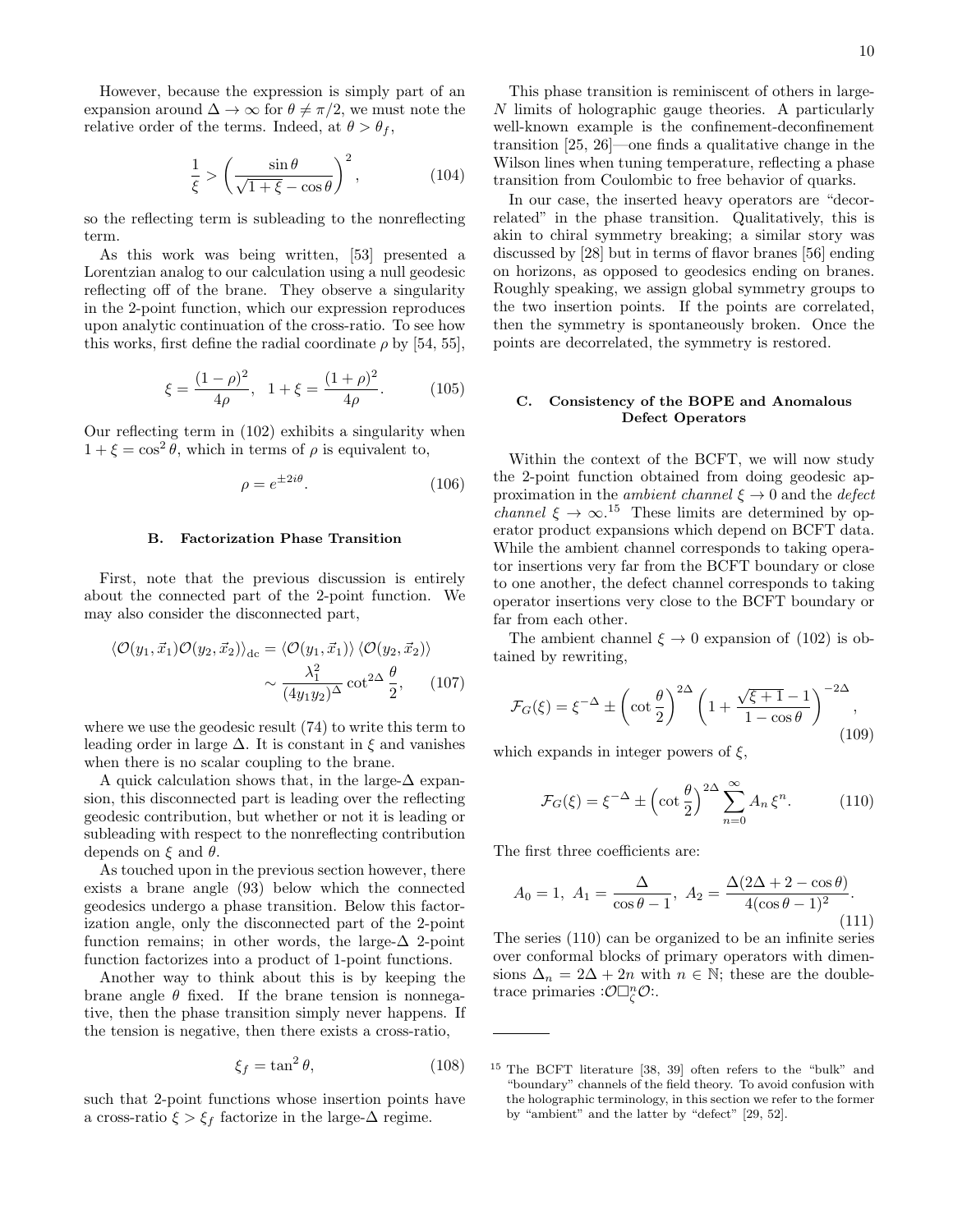However, because the expression is simply part of an expansion around  $\Delta \to \infty$  for  $\theta \neq \pi/2$ , we must note the relative order of the terms. Indeed, at  $\theta > \theta_f$ ,

$$
\frac{1}{\xi} > \left(\frac{\sin \theta}{\sqrt{1 + \xi} - \cos \theta}\right)^2, \tag{104}
$$

so the reflecting term is subleading to the nonreflecting term.

As this work was being written, [\[53\]](#page-17-45) presented a Lorentzian analog to our calculation using a null geodesic reflecting off of the brane. They observe a singularity in the 2-point function, which our expression reproduces upon analytic continuation of the cross-ratio. To see how this works, first define the radial coordinate  $\rho$  by [\[54,](#page-17-46) [55\]](#page-17-47),

$$
\xi = \frac{(1 - \rho)^2}{4\rho}, \quad 1 + \xi = \frac{(1 + \rho)^2}{4\rho}.
$$
 (105)

Our reflecting term in [\(102\)](#page-8-7) exhibits a singularity when  $1 + \xi = \cos^2 \theta$ , which in terms of  $\rho$  is equivalent to,

$$
\rho = e^{\pm 2i\theta}.\tag{106}
$$

## <span id="page-9-0"></span>B. Factorization Phase Transition

First, note that the previous discussion is entirely about the connected part of the 2-point function. We may also consider the disconnected part,

$$
\langle \mathcal{O}(y_1, \vec{x}_1) \mathcal{O}(y_2, \vec{x}_2) \rangle_{\text{dc}} = \langle \mathcal{O}(y_1, \vec{x}_1) \rangle \langle \mathcal{O}(y_2, \vec{x}_2) \rangle
$$

$$
\sim \frac{\lambda_1^2}{(4y_1y_2)^{\Delta}} \cot^{2\Delta} \frac{\theta}{2}, \qquad (107)
$$

where we use the geodesic result [\(74\)](#page-6-1) to write this term to leading order in large  $\Delta$ . It is constant in  $\xi$  and vanishes when there is no scalar coupling to the brane.

A quick calculation shows that, in the large- $\Delta$  expansion, this disconnected part is leading over the reflecting geodesic contribution, but whether or not it is leading or subleading with respect to the nonreflecting contribution depends on  $\xi$  and  $\theta$ .

As touched upon in the previous section however, there exists a brane angle [\(93\)](#page-8-8) below which the connected geodesics undergo a phase transition. Below this factorization angle, only the disconnected part of the 2-point function remains; in other words, the large- $\Delta$  2-point function factorizes into a product of 1-point functions.

Another way to think about this is by keeping the brane angle  $\theta$  fixed. If the brane tension is nonnegative, then the phase transition simply never happens. If the tension is negative, then there exists a cross-ratio,

$$
\xi_f = \tan^2 \theta,\tag{108}
$$

such that 2-point functions whose insertion points have a cross-ratio  $\xi > \xi_f$  factorize in the large- $\Delta$  regime.

This phase transition is reminiscent of others in large-N limits of holographic gauge theories. A particularly well-known example is the confinement-deconfinement transition [\[25,](#page-17-17) [26\]](#page-17-18)—one finds a qualitative change in the Wilson lines when tuning temperature, reflecting a phase transition from Coulombic to free behavior of quarks.

In our case, the inserted heavy operators are "decorrelated" in the phase transition. Qualitatively, this is akin to chiral symmetry breaking; a similar story was discussed by [\[28\]](#page-17-20) but in terms of flavor branes [\[56\]](#page-17-48) ending on horizons, as opposed to geodesics ending on branes. Roughly speaking, we assign global symmetry groups to the two insertion points. If the points are correlated, then the symmetry is spontaneously broken. Once the points are decorrelated, the symmetry is restored.

### C. Consistency of the BOPE and Anomalous Defect Operators

Within the context of the BCFT, we will now study the 2-point function obtained from doing geodesic approximation in the *ambient channel*  $\xi \to 0$  and the *defect channel*  $\xi \to \infty$ .<sup>[15](#page-9-1)</sup> These limits are determined by operator product expansions which depend on BCFT data. While the ambient channel corresponds to taking operator insertions very far from the BCFT boundary or close to one another, the defect channel corresponds to taking operator insertions very close to the BCFT boundary or far from each other.

The ambient channel  $\xi \to 0$  expansion of [\(102\)](#page-8-7) is obtained by rewriting,

$$
\mathcal{F}_G(\xi) = \xi^{-\Delta} \pm \left(\cot\frac{\theta}{2}\right)^{2\Delta} \left(1 + \frac{\sqrt{\xi+1} - 1}{1 - \cos\theta}\right)^{-2\Delta},\tag{109}
$$

which expands in integer powers of  $\xi$ ,

<span id="page-9-2"></span>
$$
\mathcal{F}_G(\xi) = \xi^{-\Delta} \pm \left(\cot\frac{\theta}{2}\right)^{2\Delta} \sum_{n=0}^{\infty} A_n \,\xi^n. \tag{110}
$$

The first three coefficients are:

$$
A_0 = 1, A_1 = \frac{\Delta}{\cos \theta - 1}, A_2 = \frac{\Delta(2\Delta + 2 - \cos \theta)}{4(\cos \theta - 1)^2}.
$$
\n(111)

The series [\(110\)](#page-9-2) can be organized to be an infinite series over conformal blocks of primary operators with dimensions  $\Delta_n = 2\Delta + 2n$  with  $n \in \mathbb{N}$ ; these are the doubletrace primaries  $:\mathcal{O}\Box_{\zeta}^n\mathcal{O}$ :

<span id="page-9-1"></span><sup>15</sup> The BCFT literature [\[38,](#page-17-30) [39\]](#page-17-31) often refers to the "bulk" and "boundary" channels of the field theory. To avoid confusion with the holographic terminology, in this section we refer to the former by "ambient" and the latter by "defect" [\[29,](#page-17-21) [52\]](#page-17-44).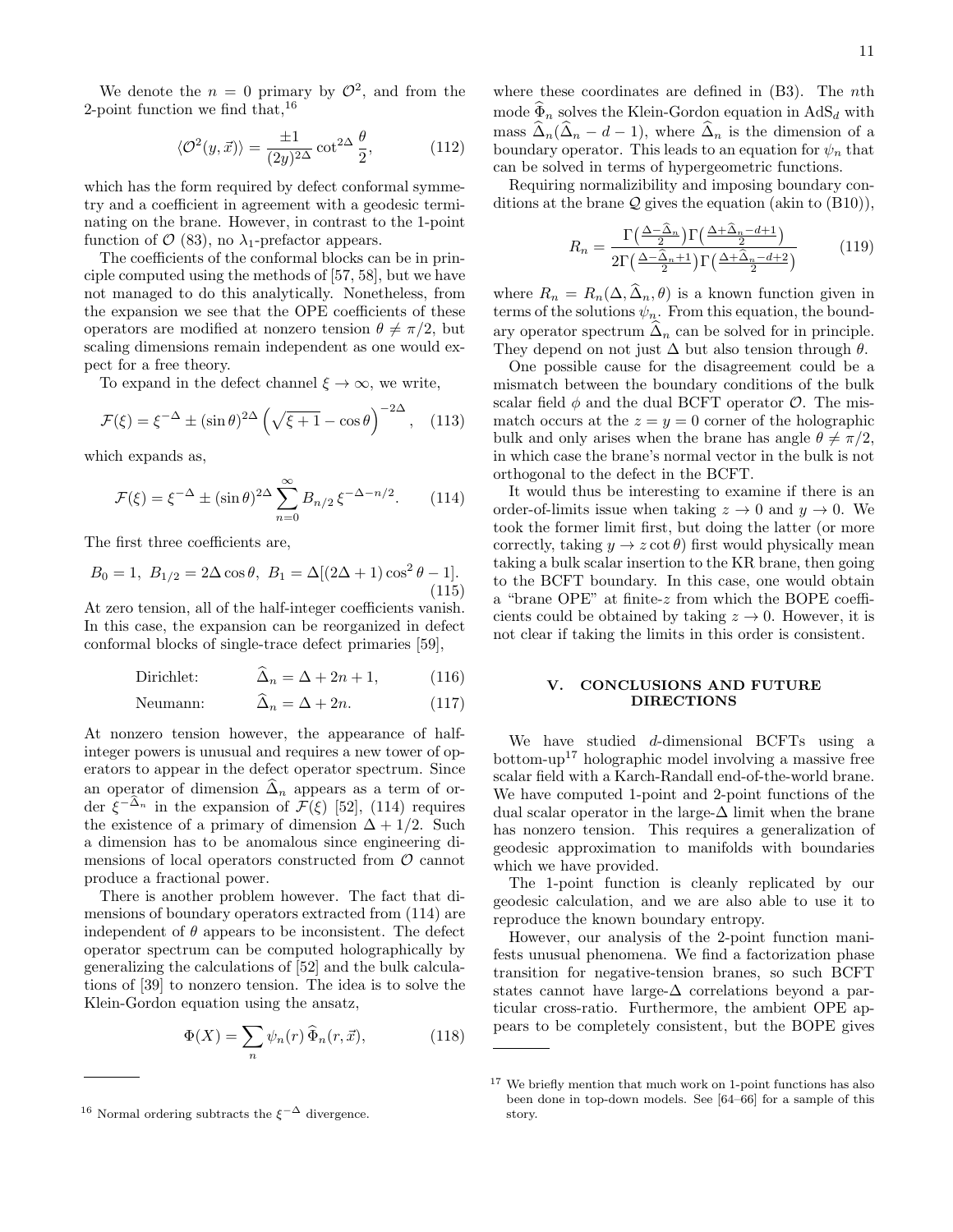We denote the  $n = 0$  primary by  $\mathcal{O}^2$ , and from the 2-point function we find that,  $16$ 

$$
\langle \mathcal{O}^2(y,\vec{x}) \rangle = \frac{\pm 1}{(2y)^{2\Delta}} \cot^{2\Delta} \frac{\theta}{2},\tag{112}
$$

which has the form required by defect conformal symmetry and a coefficient in agreement with a geodesic terminating on the brane. However, in contrast to the 1-point function of  $\mathcal{O}(83)$  $\mathcal{O}(83)$ , no  $\lambda_1$ -prefactor appears.

The coefficients of the conformal blocks can be in principle computed using the methods of [\[57,](#page-17-49) [58\]](#page-17-50), but we have not managed to do this analytically. Nonetheless, from the expansion we see that the OPE coefficients of these operators are modified at nonzero tension  $\theta \neq \pi/2$ , but scaling dimensions remain independent as one would expect for a free theory.

To expand in the defect channel  $\xi \to \infty$ , we write,

$$
\mathcal{F}(\xi) = \xi^{-\Delta} \pm (\sin \theta)^{2\Delta} \left( \sqrt{\xi + 1} - \cos \theta \right)^{-2\Delta}, \quad (113)
$$

which expands as,

<span id="page-10-1"></span>
$$
\mathcal{F}(\xi) = \xi^{-\Delta} \pm (\sin \theta)^{2\Delta} \sum_{n=0}^{\infty} B_{n/2} \xi^{-\Delta - n/2}.
$$
 (114)

The first three coefficients are,

$$
B_0 = 1, B_{1/2} = 2\Delta\cos\theta, B_1 = \Delta[(2\Delta + 1)\cos^2\theta - 1].
$$
\n(115)

At zero tension, all of the half-integer coefficients vanish. In this case, the expansion can be reorganized in defect conformal blocks of single-trace defect primaries [\[59\]](#page-17-51),

Dirichlet: 
$$
\Delta_n = \Delta + 2n + 1, \qquad (116)
$$

$$
Neumann: \qquad \Delta_n = \Delta + 2n. \tag{117}
$$

At nonzero tension however, the appearance of halfinteger powers is unusual and requires a new tower of operators to appear in the defect operator spectrum. Since an operator of dimension  $\widehat{\Delta}_n$  appears as a term of order  $\xi^{-\Delta_n}$  in the expansion of  $\mathcal{F}(\xi)$  [\[52\]](#page-17-44), [\(114\)](#page-10-1) requires the existence of a primary of dimension  $\Delta + 1/2$ . Such a dimension has to be anomalous since engineering dimensions of local operators constructed from  $\mathcal O$  cannot produce a fractional power.

There is another problem however. The fact that dimensions of boundary operators extracted from [\(114\)](#page-10-1) are independent of  $\theta$  appears to be inconsistent. The defect operator spectrum can be computed holographically by generalizing the calculations of [\[52\]](#page-17-44) and the bulk calculations of [\[39\]](#page-17-31) to nonzero tension. The idea is to solve the Klein-Gordon equation using the ansatz,

$$
\Phi(X) = \sum_{n} \psi_n(r) \,\widehat{\Phi}_n(r, \vec{x}),\tag{118}
$$

where these coordinates are defined in  $(B3)$ . The *nth* mode  $\widehat{\Phi}_n$  solves the Klein-Gordon equation in AdS<sub>d</sub> with mass  $\widehat{\Delta}_n(\widehat{\Delta}_n - d - 1)$ , where  $\widehat{\Delta}_n$  is the dimension of a boundary operator. This leads to an equation for  $\psi_n$  that can be solved in terms of hypergeometric functions.

Requiring normalizibility and imposing boundary conditions at the brane  $Q$  gives the equation (akin to  $(B10)$ ),

$$
R_n = \frac{\Gamma\left(\frac{\Delta - \hat{\Delta}_n}{2}\right) \Gamma\left(\frac{\Delta + \hat{\Delta}_n - d + 1}{2}\right)}{2 \Gamma\left(\frac{\Delta - \hat{\Delta}_n + 1}{2}\right) \Gamma\left(\frac{\Delta + \hat{\Delta}_n - d + 2}{2}\right)}\tag{119}
$$

where  $R_n = R_n(\Delta, \widehat{\Delta}_n, \theta)$  is a known function given in terms of the solutions  $\psi_n$ . From this equation, the boundary operator spectrum  $\Delta_n$  can be solved for in principle. They depend on not just  $\Delta$  but also tension through  $\theta$ .

One possible cause for the disagreement could be a mismatch between the boundary conditions of the bulk scalar field  $\phi$  and the dual BCFT operator  $\mathcal{O}$ . The mismatch occurs at the  $z = y = 0$  corner of the holographic bulk and only arises when the brane has angle  $\theta \neq \pi/2$ , in which case the brane's normal vector in the bulk is not orthogonal to the defect in the BCFT.

It would thus be interesting to examine if there is an order-of-limits issue when taking  $z \to 0$  and  $y \to 0$ . We took the former limit first, but doing the latter (or more correctly, taking  $y \to z \cot \theta$  first would physically mean taking a bulk scalar insertion to the KR brane, then going to the BCFT boundary. In this case, one would obtain a "brane OPE" at finite-z from which the BOPE coefficients could be obtained by taking  $z \to 0$ . However, it is not clear if taking the limits in this order is consistent.

## V. CONCLUSIONS AND FUTURE DIRECTIONS

We have studied d-dimensional BCFTs using a bottom-up<sup>[17](#page-10-2)</sup> holographic model involving a massive free scalar field with a Karch-Randall end-of-the-world brane. We have computed 1-point and 2-point functions of the dual scalar operator in the large- $\Delta$  limit when the brane has nonzero tension. This requires a generalization of geodesic approximation to manifolds with boundaries which we have provided.

The 1-point function is cleanly replicated by our geodesic calculation, and we are also able to use it to reproduce the known boundary entropy.

However, our analysis of the 2-point function manifests unusual phenomena. We find a factorization phase transition for negative-tension branes, so such BCFT states cannot have large-∆ correlations beyond a particular cross-ratio. Furthermore, the ambient OPE appears to be completely consistent, but the BOPE gives

<span id="page-10-0"></span><sup>&</sup>lt;sup>16</sup> Normal ordering subtracts the  $\xi^{-\Delta}$  divergence.

<span id="page-10-2"></span><sup>17</sup> We briefly mention that much work on 1-point functions has also been done in top-down models. See [\[64–](#page-18-0)[66\]](#page-18-1) for a sample of this story.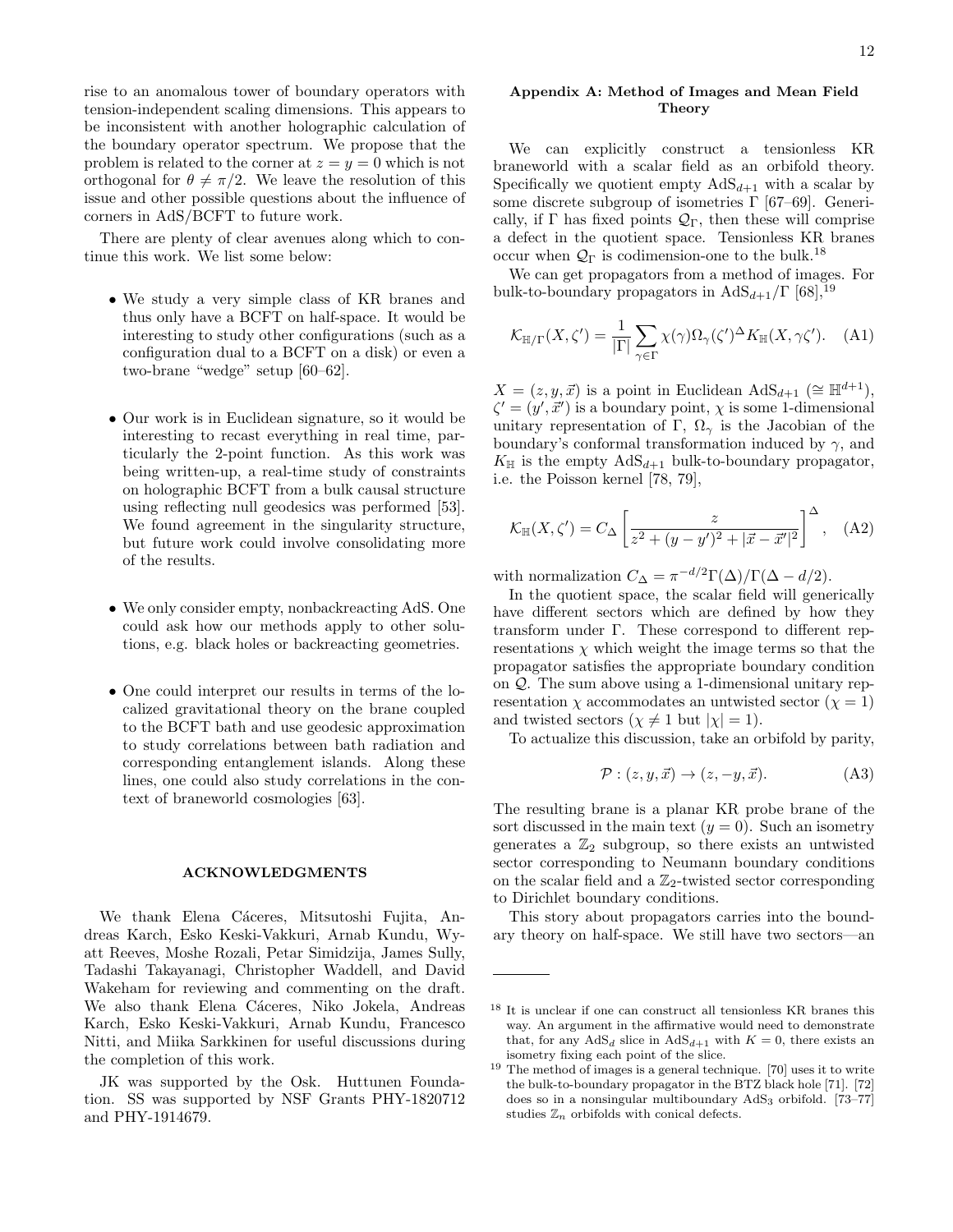rise to an anomalous tower of boundary operators with tension-independent scaling dimensions. This appears to be inconsistent with another holographic calculation of the boundary operator spectrum. We propose that the problem is related to the corner at  $z = y = 0$  which is not orthogonal for  $\theta \neq \pi/2$ . We leave the resolution of this issue and other possible questions about the influence of corners in AdS/BCFT to future work.

There are plenty of clear avenues along which to continue this work. We list some below:

- We study a very simple class of KR branes and thus only have a BCFT on half-space. It would be interesting to study other configurations (such as a configuration dual to a BCFT on a disk) or even a two-brane "wedge" setup [\[60](#page-17-52)[–62\]](#page-17-53).
- Our work is in Euclidean signature, so it would be interesting to recast everything in real time, particularly the 2-point function. As this work was being written-up, a real-time study of constraints on holographic BCFT from a bulk causal structure using reflecting null geodesics was performed [\[53\]](#page-17-45). We found agreement in the singularity structure, but future work could involve consolidating more of the results.
- We only consider empty, nonbackreacting AdS. One could ask how our methods apply to other solutions, e.g. black holes or backreacting geometries.
- One could interpret our results in terms of the localized gravitational theory on the brane coupled to the BCFT bath and use geodesic approximation to study correlations between bath radiation and corresponding entanglement islands. Along these lines, one could also study correlations in the context of braneworld cosmologies [\[63\]](#page-17-54).

#### ACKNOWLEDGMENTS

We thank Elena Cáceres, Mitsutoshi Fujita, Andreas Karch, Esko Keski-Vakkuri, Arnab Kundu, Wyatt Reeves, Moshe Rozali, Petar Simidzija, James Sully, Tadashi Takayanagi, Christopher Waddell, and David Wakeham for reviewing and commenting on the draft. We also thank Elena Cáceres, Niko Jokela, Andreas Karch, Esko Keski-Vakkuri, Arnab Kundu, Francesco Nitti, and Miika Sarkkinen for useful discussions during the completion of this work.

JK was supported by the Osk. Huttunen Foundation. SS was supported by NSF Grants PHY-1820712 and PHY-1914679.

### <span id="page-11-0"></span>Appendix A: Method of Images and Mean Field Theory

We can explicitly construct a tensionless KR braneworld with a scalar field as an orbifold theory. Specifically we quotient empty  $AdS_{d+1}$  with a scalar by some discrete subgroup of isometries  $\Gamma$  [\[67–](#page-18-2)[69\]](#page-18-3). Generically, if  $\Gamma$  has fixed points  $\mathcal{Q}_{\Gamma}$ , then these will comprise a defect in the quotient space. Tensionless KR branes occur when  $\mathcal{Q}_{\Gamma}$  is codimension-one to the bulk.<sup>[18](#page-11-1)</sup>

We can get propagators from a method of images. For bulk-to-boundary propagators in  $AdS_{d+1}/\Gamma$  [\[68\]](#page-18-4),<sup>[19](#page-11-2)</sup>

$$
\mathcal{K}_{\mathbb{H}/\Gamma}(X,\zeta') = \frac{1}{|\Gamma|} \sum_{\gamma \in \Gamma} \chi(\gamma) \Omega_{\gamma}(\zeta')^{\Delta} K_{\mathbb{H}}(X,\gamma\zeta'). \tag{A1}
$$

 $X = (z, y, \vec{x})$  is a point in Euclidean AdS<sub>d+1</sub> (≅  $\mathbb{H}^{d+1}$ ),  $\zeta' = (y', \vec{x}')$  is a boundary point,  $\chi$  is some 1-dimensional unitary representation of Γ,  $\Omega_{\gamma}$  is the Jacobian of the boundary's conformal transformation induced by  $\gamma$ , and  $K_{\mathbb{H}}$  is the empty  $AdS_{d+1}$  bulk-to-boundary propagator, i.e. the Poisson kernel [\[78,](#page-18-5) [79\]](#page-18-6),

$$
\mathcal{K}_{\mathbb{H}}(X,\zeta') = C_{\Delta} \left[ \frac{z}{z^2 + (y - y')^2 + |\vec{x} - \vec{x}'|^2} \right]^{\Delta}, \quad \text{(A2)}
$$

with normalization  $C_{\Delta} = \pi^{-d/2} \Gamma(\Delta) / \Gamma(\Delta - d/2)$ .

In the quotient space, the scalar field will generically have different sectors which are defined by how they transform under Γ. These correspond to different representations  $\chi$  which weight the image terms so that the propagator satisfies the appropriate boundary condition on Q. The sum above using a 1-dimensional unitary representation  $\chi$  accommodates an untwisted sector  $(\chi = 1)$ and twisted sectors  $(\chi \neq 1$  but  $|\chi| = 1)$ .

To actualize this discussion, take an orbifold by parity,

$$
\mathcal{P}: (z, y, \vec{x}) \to (z, -y, \vec{x}). \tag{A3}
$$

The resulting brane is a planar KR probe brane of the sort discussed in the main text  $(y = 0)$ . Such an isometry generates a  $\mathbb{Z}_2$  subgroup, so there exists an untwisted sector corresponding to Neumann boundary conditions on the scalar field and a  $\mathbb{Z}_2$ -twisted sector corresponding to Dirichlet boundary conditions.

This story about propagators carries into the boundary theory on half-space. We still have two sectors—an

<span id="page-11-1"></span><sup>18</sup> It is unclear if one can construct all tensionless KR branes this way. An argument in the affirmative would need to demonstrate that, for any  $AdS_d$  slice in  $AdS_{d+1}$  with  $K = 0$ , there exists an isometry fixing each point of the slice.

<span id="page-11-2"></span> $19$  The method of images is a general technique. [\[70\]](#page-18-7) uses it to write the bulk-to-boundary propagator in the BTZ black hole [\[71\]](#page-18-8). [\[72\]](#page-18-9) does so in a nonsingular multiboundary  $AdS<sub>3</sub>$  orbifold. [\[73](#page-18-10)[–77\]](#page-18-11) studies  $\mathbb{Z}_n$  orbifolds with conical defects.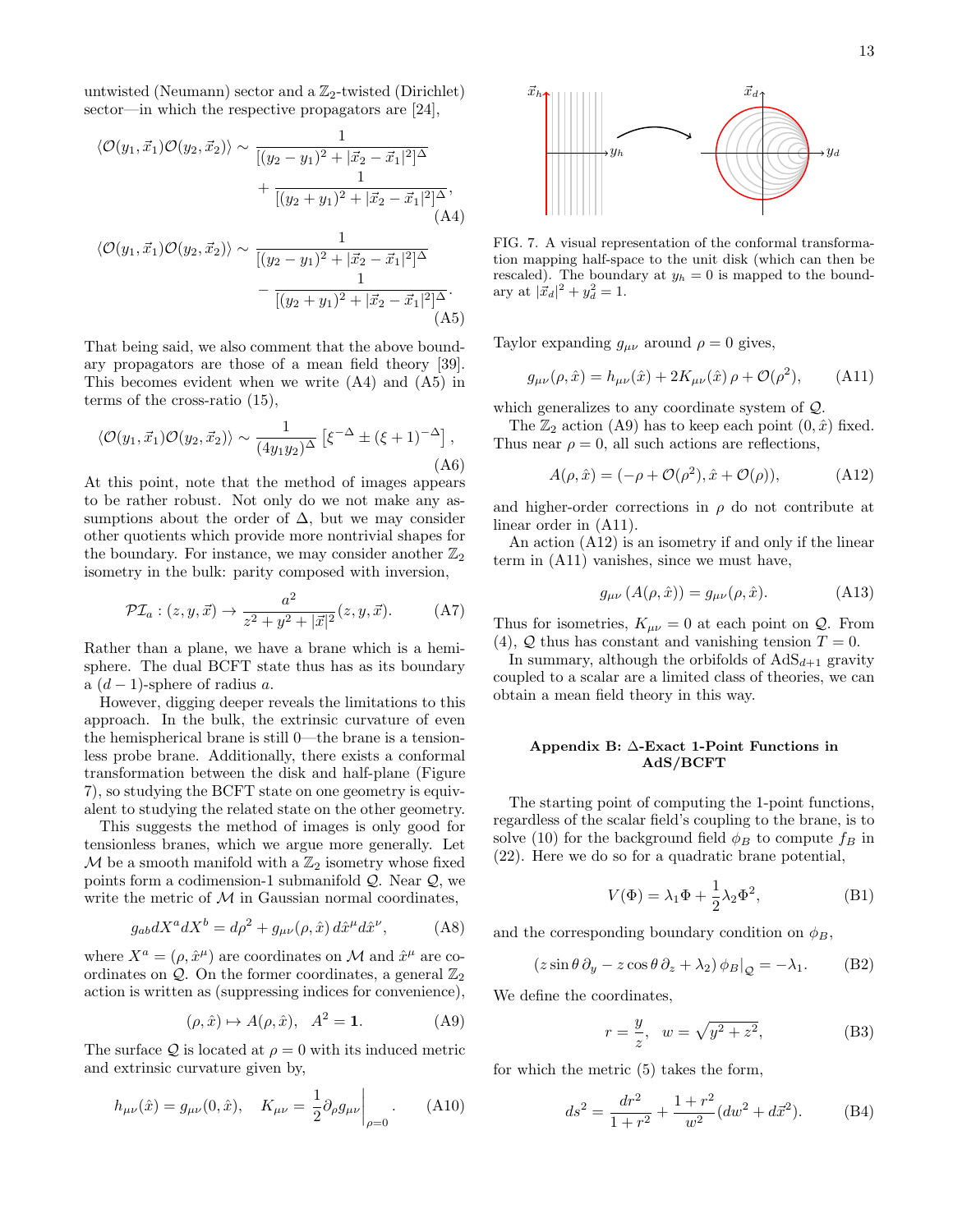untwisted (Neumann) sector and a  $\mathbb{Z}_2$ -twisted (Dirichlet) sector—in which the respective propagators are [\[24\]](#page-17-16),

$$
\langle \mathcal{O}(y_1, \vec{x}_1) \mathcal{O}(y_2, \vec{x}_2) \rangle \sim \frac{1}{[(y_2 - y_1)^2 + |\vec{x}_2 - \vec{x}_1|^2]^\Delta} + \frac{1}{[(y_2 + y_1)^2 + |\vec{x}_2 - \vec{x}_1|^2]^\Delta},
$$
\n(A4)  
\n
$$
\langle \mathcal{O}(y_1, \vec{x}_1) \mathcal{O}(y_2, \vec{x}_2) \rangle \sim \frac{1}{[(y_2 - y_1)^2 + |\vec{x}_2 - \vec{x}_1|^2]^\Delta} - \frac{1}{[(y_2 + y_1)^2 + |\vec{x}_2 - \vec{x}_1|^2]^\Delta}.
$$
\n(A5)

That being said, we also comment that the above boundary propagators are those of a mean field theory [\[39\]](#page-17-31). This becomes evident when we write [\(A4\)](#page-12-2) and [\(A5\)](#page-12-3) in terms of the cross-ratio [\(15\)](#page-2-11),

$$
\langle \mathcal{O}(y_1, \vec{x}_1) \mathcal{O}(y_2, \vec{x}_2) \rangle \sim \frac{1}{(4y_1y_2)^{\Delta}} \left[ \xi^{-\Delta} \pm (\xi + 1)^{-\Delta} \right],
$$
\n(A6)

At this point, note that the method of images appears to be rather robust. Not only do we not make any assumptions about the order of  $\Delta$ , but we may consider other quotients which provide more nontrivial shapes for the boundary. For instance, we may consider another  $\mathbb{Z}_2$ isometry in the bulk: parity composed with inversion,

$$
\mathcal{PI}_a: (z, y, \vec{x}) \to \frac{a^2}{z^2 + y^2 + |\vec{x}|^2} (z, y, \vec{x}). \tag{A7}
$$

Rather than a plane, we have a brane which is a hemisphere. The dual BCFT state thus has as its boundary a  $(d-1)$ -sphere of radius a.

However, digging deeper reveals the limitations to this approach. In the bulk, the extrinsic curvature of even the hemispherical brane is still 0—the brane is a tensionless probe brane. Additionally, there exists a conformal transformation between the disk and half-plane (Figure [7\)](#page-12-4), so studying the BCFT state on one geometry is equivalent to studying the related state on the other geometry.

This suggests the method of images is only good for tensionless branes, which we argue more generally. Let  $\mathcal M$  be a smooth manifold with a  $\mathbb Z_2$  isometry whose fixed points form a codimension-1 submanifold  $Q$ . Near  $Q$ , we write the metric of  $M$  in Gaussian normal coordinates,

$$
g_{ab}dX^{a}dX^{b} = d\rho^{2} + g_{\mu\nu}(\rho, \hat{x}) d\hat{x}^{\mu}d\hat{x}^{\nu}, \qquad (A8)
$$

where  $X^a = (\rho, \hat{x}^{\mu})$  are coordinates on M and  $\hat{x}^{\mu}$  are coordinates on  $Q$ . On the former coordinates, a general  $\mathbb{Z}_2$ action is written as (suppressing indices for convenience),

<span id="page-12-5"></span>
$$
(\rho, \hat{x}) \mapsto A(\rho, \hat{x}), \quad A^2 = \mathbf{1}.\tag{A9}
$$

The surface  $\mathcal Q$  is located at  $\rho = 0$  with its induced metric and extrinsic curvature given by,

$$
h_{\mu\nu}(\hat{x}) = g_{\mu\nu}(0, \hat{x}), \quad K_{\mu\nu} = \frac{1}{2} \partial_{\rho} g_{\mu\nu} \bigg|_{\rho=0}.
$$
 (A10)



<span id="page-12-4"></span><span id="page-12-2"></span>FIG. 7. A visual representation of the conformal transformation mapping half-space to the unit disk (which can then be rescaled). The boundary at  $y_h = 0$  is mapped to the boundary at  $|\vec{x}_d|^2 + y_d^2 = 1$ .

<span id="page-12-3"></span>Taylor expanding  $g_{\mu\nu}$  around  $\rho = 0$  gives,

<span id="page-12-6"></span>
$$
g_{\mu\nu}(\rho, \hat{x}) = h_{\mu\nu}(\hat{x}) + 2K_{\mu\nu}(\hat{x})\,\rho + \mathcal{O}(\rho^2), \quad (A11)
$$

which generalizes to any coordinate system of Q.

The  $\mathbb{Z}_2$  action [\(A9\)](#page-12-5) has to keep each point  $(0, \hat{x})$  fixed. Thus near  $\rho = 0$ , all such actions are reflections,

<span id="page-12-7"></span>
$$
A(\rho, \hat{x}) = (-\rho + \mathcal{O}(\rho^2), \hat{x} + \mathcal{O}(\rho)), \tag{A12}
$$

and higher-order corrections in  $\rho$  do not contribute at linear order in [\(A11\)](#page-12-6).

An action [\(A12\)](#page-12-7) is an isometry if and only if the linear term in [\(A11\)](#page-12-6) vanishes, since we must have,

$$
g_{\mu\nu}\left(A(\rho,\hat{x})\right) = g_{\mu\nu}(\rho,\hat{x}).\tag{A13}
$$

Thus for isometries,  $K_{\mu\nu} = 0$  at each point on  $\mathcal{Q}$ . From [\(4\)](#page-1-10),  $Q$  thus has constant and vanishing tension  $T = 0$ .

In summary, although the orbifolds of  $AdS_{d+1}$  gravity coupled to a scalar are a limited class of theories, we can obtain a mean field theory in this way.

#### <span id="page-12-0"></span>Appendix B: ∆-Exact 1-Point Functions in AdS/BCFT

The starting point of computing the 1-point functions, regardless of the scalar field's coupling to the brane, is to solve [\(10\)](#page-1-11) for the background field  $\phi_B$  to compute  $f_B$  in [\(22\)](#page-2-8). Here we do so for a quadratic brane potential,

$$
V(\Phi) = \lambda_1 \Phi + \frac{1}{2} \lambda_2 \Phi^2,
$$
 (B1)

and the corresponding boundary condition on  $\phi_B$ ,

$$
(z\sin\theta\,\partial_y - z\cos\theta\,\partial_z + \lambda_2)\,\phi_B|_{\mathcal{Q}} = -\lambda_1. \tag{B2}
$$

We define the coordinates,

<span id="page-12-1"></span>
$$
r = \frac{y}{z}, \quad w = \sqrt{y^2 + z^2},
$$
 (B3)

for which the metric [\(5\)](#page-1-8) takes the form,

$$
ds^{2} = \frac{dr^{2}}{1+r^{2}} + \frac{1+r^{2}}{w^{2}}(dw^{2} + d\vec{x}^{2}).
$$
 (B4)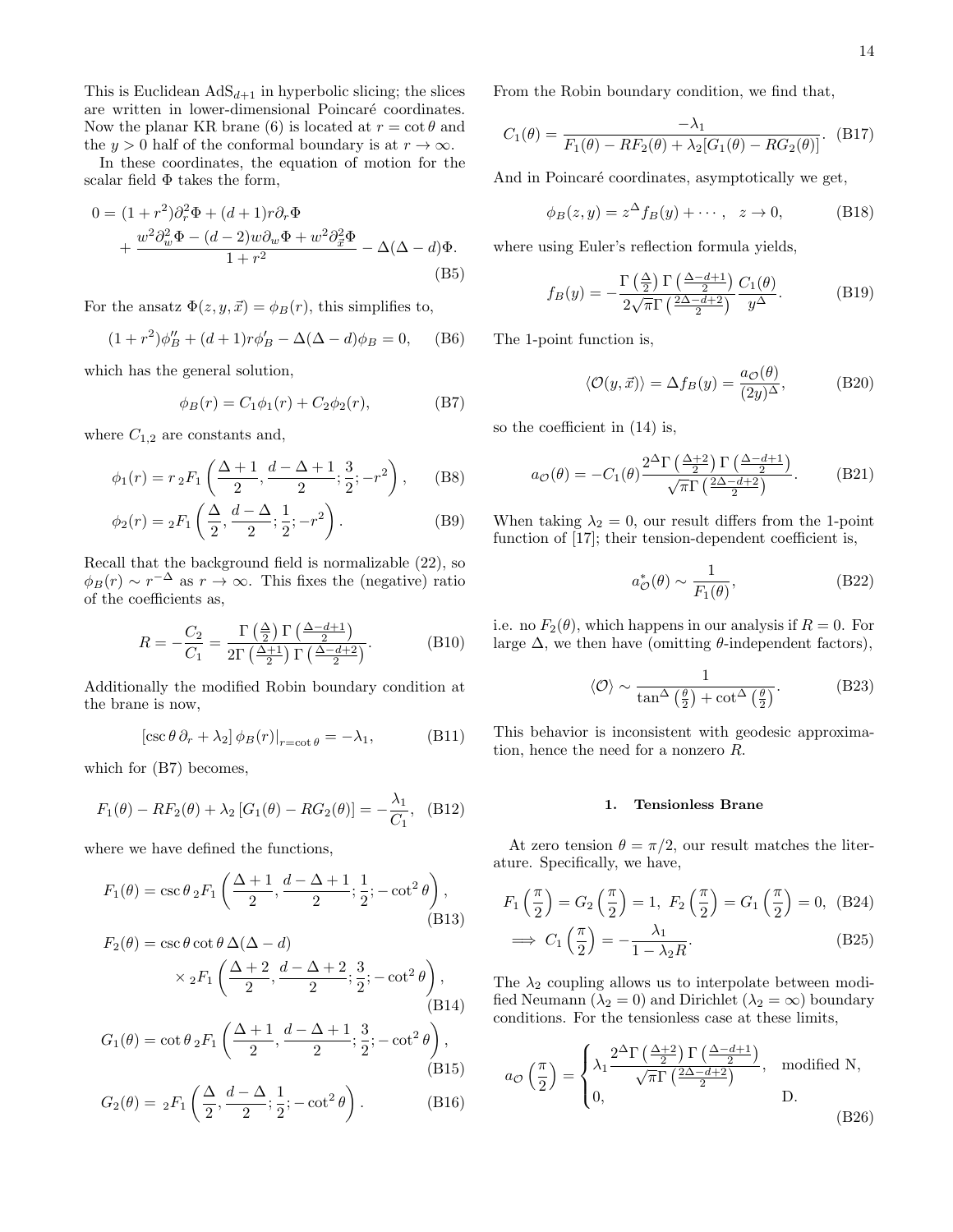This is Euclidean  $AdS_{d+1}$  in hyperbolic slicing; the slices are written in lower-dimensional Poincaré coordinates. Now the planar KR brane [\(6\)](#page-1-0) is located at  $r = \cot \theta$  and the y > 0 half of the conformal boundary is at  $r \to \infty$ .

In these coordinates, the equation of motion for the scalar field  $\Phi$  takes the form,

$$
0 = (1+r^2)\partial_r^2 \Phi + (d+1)r\partial_r \Phi
$$
  
+ 
$$
\frac{w^2 \partial_w^2 \Phi - (d-2)w \partial_w \Phi + w^2 \partial_{\tilde{x}}^2 \Phi}{1+r^2} - \Delta(\Delta - d)\Phi.
$$
 (B5)

For the ansatz  $\Phi(z, y, \vec{x}) = \phi_B(r)$ , this simplifies to,

$$
(1+r^2)\phi''_B + (d+1)r\phi'_B - \Delta(\Delta - d)\phi_B = 0, \quad (B6)
$$

which has the general solution,

<span id="page-13-1"></span>
$$
\phi_B(r) = C_1 \phi_1(r) + C_2 \phi_2(r), \tag{B7}
$$

where  $C_{1,2}$  are constants and,

$$
\phi_1(r) = r_2 F_1\left(\frac{\Delta + 1}{2}, \frac{d - \Delta + 1}{2}; \frac{3}{2}; -r^2\right), \quad \text{(B8)}
$$

$$
\phi_2(r) = {}_2F_1\left(\frac{\Delta}{2}, \frac{d-\Delta}{2}; \frac{1}{2}; -r^2\right).
$$
 (B9)

Recall that the background field is normalizable [\(22\)](#page-2-8), so  $\phi_B(r) \sim r^{-\Delta}$  as  $r \to \infty$ . This fixes the (negative) ratio of the coefficients as,

<span id="page-13-0"></span>
$$
R = -\frac{C_2}{C_1} = \frac{\Gamma\left(\frac{\Delta}{2}\right)\Gamma\left(\frac{\Delta - d + 1}{2}\right)}{2\Gamma\left(\frac{\Delta + 1}{2}\right)\Gamma\left(\frac{\Delta - d + 2}{2}\right)}.\tag{B10}
$$

Additionally the modified Robin boundary condition at the brane is now,

$$
[\csc \theta \, \partial_r + \lambda_2] \, \phi_B(r)|_{r = \cot \theta} = -\lambda_1,\tag{B11}
$$

which for [\(B7\)](#page-13-1) becomes,

$$
F_1(\theta) - RF_2(\theta) + \lambda_2 [G_1(\theta) - RG_2(\theta)] = -\frac{\lambda_1}{C_1}, \quad (B12)
$$

where we have defined the functions,

$$
F_1(\theta) = \csc \theta \, {}_2F_1\left(\frac{\Delta+1}{2}, \frac{d-\Delta+1}{2}; \frac{1}{2}; -\cot^2 \theta\right),\tag{B13}
$$

$$
F_2(\theta) = \csc \theta \cot \theta \, \Delta(\Delta - d)
$$
  
 
$$
\times {}_2F_1\left(\frac{\Delta + 2}{2}, \frac{d - \Delta + 2}{2}; \frac{3}{2}; -\cot^2 \theta\right),
$$
  
(B14)

$$
G_1(\theta) = \cot \theta \, {}_2F_1\left(\frac{\Delta+1}{2}, \frac{d-\Delta+1}{2}; \frac{3}{2}; -\cot^2 \theta\right),\tag{B15}
$$

$$
G_2(\theta) = {}_2F_1\left(\frac{\Delta}{2}, \frac{d-\Delta}{2}; \frac{1}{2}; -\cot^2\theta\right). \tag{B16}
$$

From the Robin boundary condition, we find that,

$$
C_1(\theta) = \frac{-\lambda_1}{F_1(\theta) - RF_2(\theta) + \lambda_2[G_1(\theta) - RG_2(\theta)]}.
$$
 (B17)

And in Poincaré coordinates, asymptotically we get,

$$
\phi_B(z, y) = z^{\Delta} f_B(y) + \cdots, \quad z \to 0,
$$
 (B18)

where using Euler's reflection formula yields,

$$
f_B(y) = -\frac{\Gamma\left(\frac{\Delta}{2}\right)\Gamma\left(\frac{\Delta-d+1}{2}\right)}{2\sqrt{\pi}\Gamma\left(\frac{2\Delta-d+2}{2}\right)} \frac{C_1(\theta)}{y^{\Delta}}.\tag{B19}
$$

The 1-point function is,

$$
\langle \mathcal{O}(y,\vec{x}) \rangle = \Delta f_B(y) = \frac{a_{\mathcal{O}}(\theta)}{(2y)^{\Delta}},
$$
 (B20)

so the coefficient in [\(14\)](#page-1-6) is,

<span id="page-13-3"></span>
$$
a_{\mathcal{O}}(\theta) = -C_1(\theta) \frac{2^{\Delta} \Gamma\left(\frac{\Delta+2}{2}\right) \Gamma\left(\frac{\Delta-d+1}{2}\right)}{\sqrt{\pi} \Gamma\left(\frac{2\Delta-d+2}{2}\right)}.
$$
 (B21)

When taking  $\lambda_2 = 0$ , our result differs from the 1-point function of [\[17\]](#page-17-10); their tension-dependent coefficient is,

$$
a_{\mathcal{O}}^*(\theta) \sim \frac{1}{F_1(\theta)},\tag{B22}
$$

i.e. no  $F_2(\theta)$ , which happens in our analysis if  $R = 0$ . For large  $\Delta$ , we then have (omitting  $\theta$ -independent factors),

$$
\langle \mathcal{O} \rangle \sim \frac{1}{\tan^{\Delta} \left( \frac{\theta}{2} \right) + \cot^{\Delta} \left( \frac{\theta}{2} \right)}.
$$
 (B23)

This behavior is inconsistent with geodesic approximation, hence the need for a nonzero R.

## 1. Tensionless Brane

At zero tension  $\theta = \pi/2$ , our result matches the literature. Specifically, we have,

$$
F_1\left(\frac{\pi}{2}\right) = G_2\left(\frac{\pi}{2}\right) = 1, F_2\left(\frac{\pi}{2}\right) = G_1\left(\frac{\pi}{2}\right) = 0, \quad \text{(B24)}
$$
\n
$$
\implies C_1\left(\frac{\pi}{2}\right) = -\frac{\lambda_1}{1 - \lambda_2 R}.
$$
\n(B25)

The  $\lambda_2$  coupling allows us to interpolate between modified Neumann ( $\lambda_2 = 0$ ) and Dirichlet ( $\lambda_2 = \infty$ ) boundary conditions. For the tensionless case at these limits,

<span id="page-13-2"></span>
$$
a_{\mathcal{O}}\left(\frac{\pi}{2}\right) = \begin{cases} \lambda_1 \frac{2^{\Delta}\Gamma\left(\frac{\Delta+2}{2}\right)\Gamma\left(\frac{\Delta-d+1}{2}\right)}{\sqrt{\pi}\Gamma\left(\frac{2\Delta-d+2}{2}\right)}, & \text{modified N,} \\ 0, & \text{D.} \end{cases}
$$
\n(B26)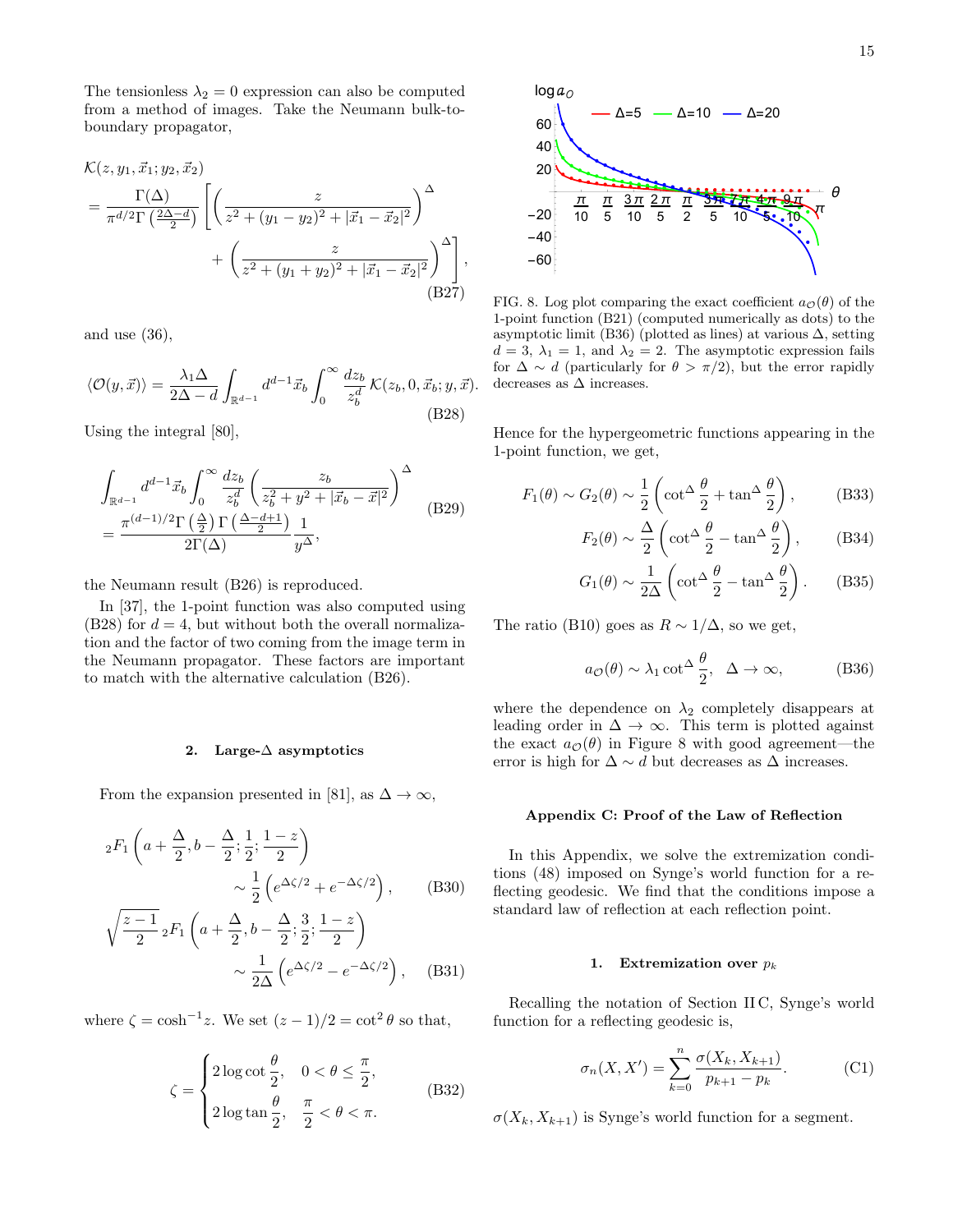The tensionless  $\lambda_2 = 0$  expression can also be computed from a method of images. Take the Neumann bulk-toboundary propagator,

$$
\mathcal{K}(z, y_1, \vec{x}_1; y_2, \vec{x}_2)
$$
\n
$$
= \frac{\Gamma(\Delta)}{\pi^{d/2} \Gamma(\frac{2\Delta - d}{2})} \left[ \left( \frac{z}{z^2 + (y_1 - y_2)^2 + |\vec{x}_1 - \vec{x}_2|^2} \right)^{\Delta} + \left( \frac{z}{z^2 + (y_1 + y_2)^2 + |\vec{x}_1 - \vec{x}_2|^2} \right)^{\Delta} \right],
$$
\n(B27)

and use  $(36)$ ,

<span id="page-14-1"></span>
$$
\langle \mathcal{O}(y,\vec{x}) \rangle = \frac{\lambda_1 \Delta}{2\Delta - d} \int_{\mathbb{R}^{d-1}} d^{d-1} \vec{x}_b \int_0^\infty \frac{dz_b}{z_b^d} \mathcal{K}(z_b, 0, \vec{x}_b; y, \vec{x}).
$$
\n(B28)

Using the integral [\[80\]](#page-18-12),

$$
\int_{\mathbb{R}^{d-1}} d^{d-1} \vec{x}_b \int_0^\infty \frac{dz_b}{z_b^d} \left( \frac{z_b}{z_b^2 + y^2 + |\vec{x}_b - \vec{x}|^2} \right)^\Delta
$$
\n
$$
= \frac{\pi^{(d-1)/2} \Gamma\left(\frac{\Delta}{2}\right) \Gamma\left(\frac{\Delta - d + 1}{2}\right)}{2\Gamma(\Delta)} \frac{1}{y^\Delta},
$$
\n(B29)

the Neumann result [\(B26\)](#page-13-2) is reproduced.

In [\[37\]](#page-17-29), the 1-point function was also computed using [\(B28\)](#page-14-1) for  $d = 4$ , but without both the overall normalization and the factor of two coming from the image term in the Neumann propagator. These factors are important to match with the alternative calculation [\(B26\)](#page-13-2).

### 2. Large-∆ asymptotics

From the expansion presented in [\[81\]](#page-18-13), as  $\Delta \to \infty$ ,

$$
{}_{2}F_{1}\left(a+\frac{\Delta}{2},b-\frac{\Delta}{2};\frac{1}{2};\frac{1-z}{2}\right) \sim \frac{1}{2}\left(e^{\Delta\zeta/2}+e^{-\Delta\zeta/2}\right), \quad (B30)
$$

$$
\sqrt{\frac{z-1}{2}}{}_{2}F_{1}\left(a+\frac{\Delta}{2},b-\frac{\Delta}{2};\frac{3}{2};\frac{1-z}{2}\right)
$$

$$
\sqrt{-2^{-2} \Gamma_1 \left( \frac{a + 2}{2}, 0 - \frac{1}{2}; \frac{1}{2}; -\frac{1}{2} \right)}
$$

$$
\sim \frac{1}{2\Delta} \left( e^{\Delta\zeta/2} - e^{-\Delta\zeta/2} \right), \quad \text{(B31)}
$$

where  $\zeta = \cosh^{-1} z$ . We set  $(z-1)/2 = \cot^2 \theta$  so that,

$$
\zeta = \begin{cases} 2\log \cot \frac{\theta}{2}, & 0 < \theta \le \frac{\pi}{2}, \\ 2\log \tan \frac{\theta}{2}, & \frac{\pi}{2} < \theta < \pi. \end{cases}
$$
 (B32)



<span id="page-14-3"></span>FIG. 8. Log plot comparing the exact coefficient  $a\mathcal{O}(\theta)$  of the 1-point function [\(B21\)](#page-13-3) (computed numerically as dots) to the asymptotic limit [\(B36\)](#page-14-2) (plotted as lines) at various  $\Delta$ , setting  $d = 3, \lambda_1 = 1$ , and  $\lambda_2 = 2$ . The asymptotic expression fails for  $\Delta \sim d$  (particularly for  $\theta > \pi/2$ ), but the error rapidly decreases as  $\Delta$  increases.

Hence for the hypergeometric functions appearing in the 1-point function, we get,

$$
F_1(\theta) \sim G_2(\theta) \sim \frac{1}{2} \left( \cot^{\Delta} \frac{\theta}{2} + \tan^{\Delta} \frac{\theta}{2} \right),
$$
 (B33)

$$
F_2(\theta) \sim \frac{\Delta}{2} \left( \cot^{\Delta} \frac{\theta}{2} - \tan^{\Delta} \frac{\theta}{2} \right),
$$
 (B34)

$$
G_1(\theta) \sim \frac{1}{2\Delta} \left( \cot^{\Delta} \frac{\theta}{2} - \tan^{\Delta} \frac{\theta}{2} \right). \quad (B35)
$$

The ratio [\(B10\)](#page-13-0) goes as  $R \sim 1/\Delta$ , so we get,

<span id="page-14-2"></span>
$$
a_{\mathcal{O}}(\theta) \sim \lambda_1 \cot^{\Delta} \frac{\theta}{2}, \quad \Delta \to \infty,
$$
 (B36)

where the dependence on  $\lambda_2$  completely disappears at leading order in  $\Delta \to \infty$ . This term is plotted against the exact  $a_{\mathcal{O}}(\theta)$  in Figure [8](#page-14-3) with good agreement—the error is high for  $\Delta \sim d$  but decreases as  $\Delta$  increases.

#### <span id="page-14-0"></span>Appendix C: Proof of the Law of Reflection

In this Appendix, we solve the extremization conditions [\(48\)](#page-4-0) imposed on Synge's world function for a reflecting geodesic. We find that the conditions impose a standard law of reflection at each reflection point.

#### 1. Extremization over  $p_k$

Recalling the notation of Section [II C,](#page-3-12) Synge's world function for a reflecting geodesic is,

<span id="page-14-4"></span>
$$
\sigma_n(X, X') = \sum_{k=0}^n \frac{\sigma(X_k, X_{k+1})}{p_{k+1} - p_k}.
$$
 (C1)

 $\sigma(X_k, X_{k+1})$  is Synge's world function for a segment.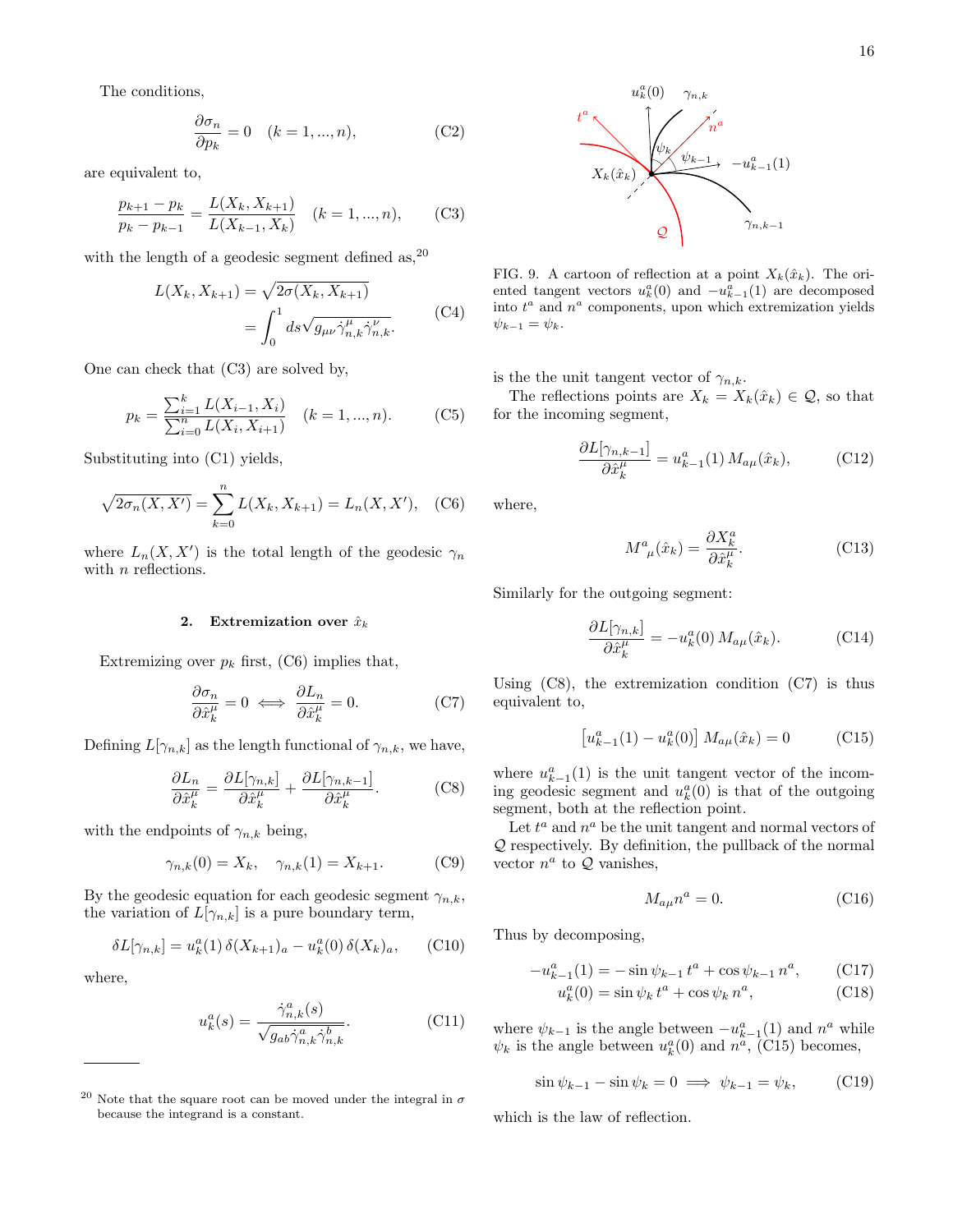The conditions,

$$
\frac{\partial \sigma_n}{\partial p_k} = 0 \quad (k = 1, ..., n), \tag{C2}
$$

are equivalent to,

<span id="page-15-1"></span>
$$
\frac{p_{k+1} - p_k}{p_k - p_{k-1}} = \frac{L(X_k, X_{k+1})}{L(X_{k-1}, X_k)} \quad (k = 1, ..., n), \tag{C3}
$$

with the length of a geodesic segment defined as,  $20$ 

$$
L(X_k, X_{k+1}) = \sqrt{2\sigma(X_k, X_{k+1})}
$$
  
= 
$$
\int_0^1 ds \sqrt{g_{\mu\nu} \dot{\gamma}^{\mu}_{n,k} \dot{\gamma}^{\nu}_{n,k}}.
$$
 (C4)

One can check that [\(C3\)](#page-15-1) are solved by,

$$
p_k = \frac{\sum_{i=1}^k L(X_{i-1}, X_i)}{\sum_{i=0}^n L(X_i, X_{i+1})} \quad (k = 1, ..., n). \tag{C5}
$$

Substituting into [\(C1\)](#page-14-4) yields,

<span id="page-15-2"></span>
$$
\sqrt{2\sigma_n(X, X')} = \sum_{k=0}^n L(X_k, X_{k+1}) = L_n(X, X'), \quad \text{(C6)}
$$

where  $L_n(X, X')$  is the total length of the geodesic  $\gamma_n$ with *n* reflections.

#### 2. Extremization over  $\hat{x}_k$

Extremizing over  $p_k$  first, [\(C6\)](#page-15-2) implies that,

<span id="page-15-4"></span>
$$
\frac{\partial \sigma_n}{\partial \hat{x}_k^{\mu}} = 0 \iff \frac{\partial L_n}{\partial \hat{x}_k^{\mu}} = 0.
$$
 (C7)

Defining  $L[\gamma_{n,k}]$  as the length functional of  $\gamma_{n,k}$ , we have,

<span id="page-15-3"></span>
$$
\frac{\partial L_n}{\partial \hat{x}_k^{\mu}} = \frac{\partial L[\gamma_{n,k}]}{\partial \hat{x}_k^{\mu}} + \frac{\partial L[\gamma_{n,k-1}]}{\partial \hat{x}_k^{\mu}}.
$$
 (C8)

with the endpoints of  $\gamma_{n,k}$  being,

$$
\gamma_{n,k}(0) = X_k, \quad \gamma_{n,k}(1) = X_{k+1}.
$$
 (C9)

By the geodesic equation for each geodesic segment  $\gamma_{n,k}$ , the variation of  $L[\gamma_{n,k}]$  is a pure boundary term,

$$
\delta L[\gamma_{n,k}] = u_k^a(1) \,\delta(X_{k+1})_a - u_k^a(0) \,\delta(X_k)_a,\qquad \text{(C10)}
$$

where,

$$
u_k^a(s) = \frac{\dot{\gamma}_{n,k}^a(s)}{\sqrt{g_{ab}\dot{\gamma}_{n,k}^a \dot{\gamma}_{n,k}^b}}.
$$
 (C11)



FIG. 9. A cartoon of reflection at a point  $X_k(\hat{x}_k)$ . The oriented tangent vectors  $u_k^a(0)$  and  $-u_{k-1}^a(1)$  are decomposed into  $t^a$  and  $n^a$  components, upon which extremization yields  $\psi_{k-1} = \psi_k.$ 

is the the unit tangent vector of  $\gamma_{n,k}$ .

The reflections points are  $X_k = X_k(\hat{x}_k) \in \mathcal{Q}$ , so that for the incoming segment,

$$
\frac{\partial L[\gamma_{n,k-1}]}{\partial \hat{x}_k^{\mu}} = u_{k-1}^a(1) M_{a\mu}(\hat{x}_k), \quad (C12)
$$

where,

$$
M^{a}_{\ \mu}(\hat{x}_{k}) = \frac{\partial X^{a}_{k}}{\partial \hat{x}^{\mu}_{k}}.
$$
 (C13)

Similarly for the outgoing segment:

$$
\frac{\partial L[\gamma_{n,k}]}{\partial \hat{x}_k^{\mu}} = -u_k^a(0) M_{a\mu}(\hat{x}_k).
$$
 (C14)

Using  $(C8)$ , the extremization condition  $(C7)$  is thus equivalent to,

<span id="page-15-5"></span>
$$
\[u_{k-1}^a(1) - u_k^a(0)\] M_{a\mu}(\hat{x}_k) = 0 \tag{C15}
$$

where  $u_{k-1}^a(1)$  is the unit tangent vector of the incoming geodesic segment and  $u_k^a(0)$  is that of the outgoing segment, both at the reflection point.

Let  $t^a$  and  $n^a$  be the unit tangent and normal vectors of Q respectively. By definition, the pullback of the normal vector  $n^a$  to  $Q$  vanishes,

$$
M_{a\mu}n^a = 0.\t\t(C16)
$$

Thus by decomposing,

$$
-u_{k-1}^{a}(1) = -\sin\psi_{k-1}t^{a} + \cos\psi_{k-1}n^{a}, \qquad (C17)
$$

$$
u_k^a(0) = \sin \psi_k t^a + \cos \psi_k n^a, \qquad (C18)
$$

where  $\psi_{k-1}$  is the angle between  $-u_{k-1}^a(1)$  and  $n^a$  while  $\psi_k$  is the angle between  $u_k^a(0)$  and  $n^{\tilde{a}}$ , [\(C15\)](#page-15-5) becomes,

$$
\sin \psi_{k-1} - \sin \psi_k = 0 \implies \psi_{k-1} = \psi_k, \qquad \text{(C19)}
$$

which is the law of reflection.

<span id="page-15-0"></span> $^{20}$  Note that the square root can be moved under the integral in  $\sigma$ because the integrand is a constant.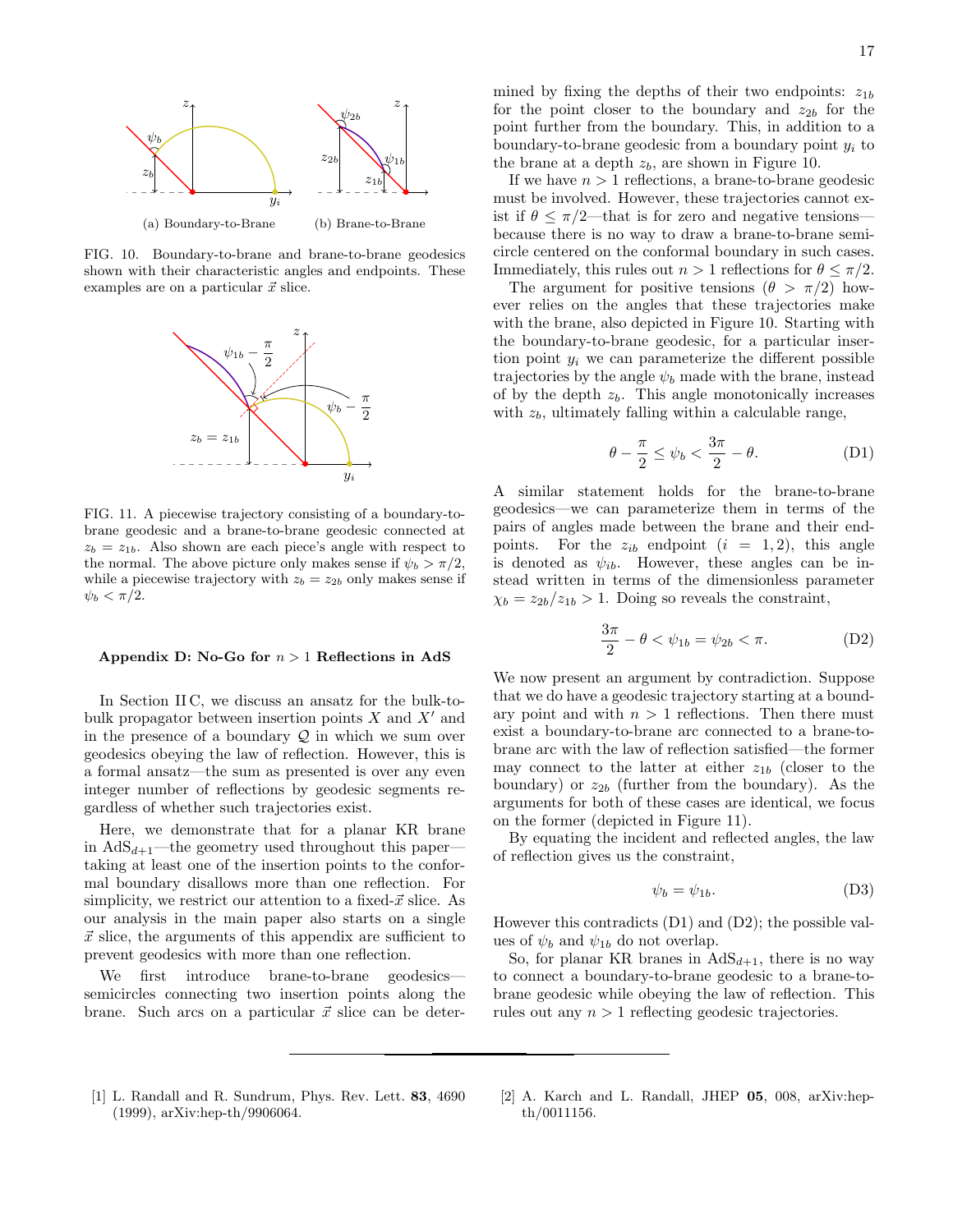

<span id="page-16-3"></span>FIG. 10. Boundary-to-brane and brane-to-brane geodesics shown with their characteristic angles and endpoints. These examples are on a particular  $\vec{x}$  slice.



<span id="page-16-4"></span>FIG. 11. A piecewise trajectory consisting of a boundary-tobrane geodesic and a brane-to-brane geodesic connected at  $z_b = z_{1b}$ . Also shown are each piece's angle with respect to the normal. The above picture only makes sense if  $\psi_b > \pi/2$ , while a piecewise trajectory with  $z_b = z_{2b}$  only makes sense if  $\psi_b < \pi/2$ .

### <span id="page-16-2"></span>Appendix D: No-Go for  $n > 1$  Reflections in AdS

In Section [II C,](#page-3-12) we discuss an ansatz for the bulk-tobulk propagator between insertion points  $X$  and  $X'$  and in the presence of a boundary  $Q$  in which we sum over geodesics obeying the law of reflection. However, this is a formal ansatz—the sum as presented is over any even integer number of reflections by geodesic segments regardless of whether such trajectories exist.

Here, we demonstrate that for a planar KR brane in  $AdS_{d+1}$ —the geometry used throughout this paper taking at least one of the insertion points to the conformal boundary disallows more than one reflection. For simplicity, we restrict our attention to a fixed- $\vec{x}$  slice. As our analysis in the main paper also starts on a single  $\vec{x}$  slice, the arguments of this appendix are sufficient to prevent geodesics with more than one reflection.

We first introduce brane-to-brane geodesics semicircles connecting two insertion points along the brane. Such arcs on a particular  $\vec{x}$  slice can be determined by fixing the depths of their two endpoints:  $z_{1b}$ for the point closer to the boundary and  $z_{2b}$  for the point further from the boundary. This, in addition to a boundary-to-brane geodesic from a boundary point  $y_i$  to the brane at a depth  $z<sub>b</sub>$ , are shown in Figure [10.](#page-16-3)

If we have  $n > 1$  reflections, a brane-to-brane geodesic must be involved. However, these trajectories cannot exist if  $\theta \leq \pi/2$ —that is for zero and negative tensions because there is no way to draw a brane-to-brane semicircle centered on the conformal boundary in such cases. Immediately, this rules out  $n > 1$  reflections for  $\theta \leq \pi/2$ .

The argument for positive tensions  $(\theta > \pi/2)$  however relies on the angles that these trajectories make with the brane, also depicted in Figure [10.](#page-16-3) Starting with the boundary-to-brane geodesic, for a particular insertion point  $y_i$  we can parameterize the different possible trajectories by the angle  $\psi_b$  made with the brane, instead of by the depth  $z<sub>b</sub>$ . This angle monotonically increases with  $z<sub>b</sub>$ , ultimately falling within a calculable range,

<span id="page-16-5"></span>
$$
\theta - \frac{\pi}{2} \le \psi_b < \frac{3\pi}{2} - \theta. \tag{D1}
$$

A similar statement holds for the brane-to-brane geodesics—we can parameterize them in terms of the pairs of angles made between the brane and their endpoints. For the  $z_{ib}$  endpoint  $(i = 1, 2)$ , this angle is denoted as  $\psi_{ib}$ . However, these angles can be instead written in terms of the dimensionless parameter  $\chi_b = z_{2b}/z_{1b} > 1$ . Doing so reveals the constraint,

<span id="page-16-6"></span>
$$
\frac{3\pi}{2} - \theta < \psi_{1b} = \psi_{2b} < \pi. \tag{D2}
$$

We now present an argument by contradiction. Suppose that we do have a geodesic trajectory starting at a boundary point and with  $n > 1$  reflections. Then there must exist a boundary-to-brane arc connected to a brane-tobrane arc with the law of reflection satisfied—the former may connect to the latter at either  $z_{1b}$  (closer to the boundary) or  $z_{2b}$  (further from the boundary). As the arguments for both of these cases are identical, we focus on the former (depicted in Figure [11\)](#page-16-4).

By equating the incident and reflected angles, the law of reflection gives us the constraint,

$$
\psi_b = \psi_{1b}.\tag{D3}
$$

However this contradicts [\(D1\)](#page-16-5) and [\(D2\)](#page-16-6); the possible values of  $\psi_b$  and  $\psi_{1b}$  do not overlap.

So, for planar KR branes in  $AdS_{d+1}$ , there is no way to connect a boundary-to-brane geodesic to a brane-tobrane geodesic while obeying the law of reflection. This rules out any  $n > 1$  reflecting geodesic trajectories.

- <span id="page-16-0"></span>[1] L. Randall and R. Sundrum, [Phys. Rev. Lett.](https://doi.org/10.1103/PhysRevLett.83.4690) 83, 4690 [\(1999\),](https://doi.org/10.1103/PhysRevLett.83.4690) [arXiv:hep-th/9906064.](https://arxiv.org/abs/hep-th/9906064)
- <span id="page-16-1"></span>[2] A. Karch and L. Randall, [JHEP](https://doi.org/10.1088/1126-6708/2001/05/008) 05, 008, [arXiv:hep](https://arxiv.org/abs/hep-th/0011156)[th/0011156.](https://arxiv.org/abs/hep-th/0011156)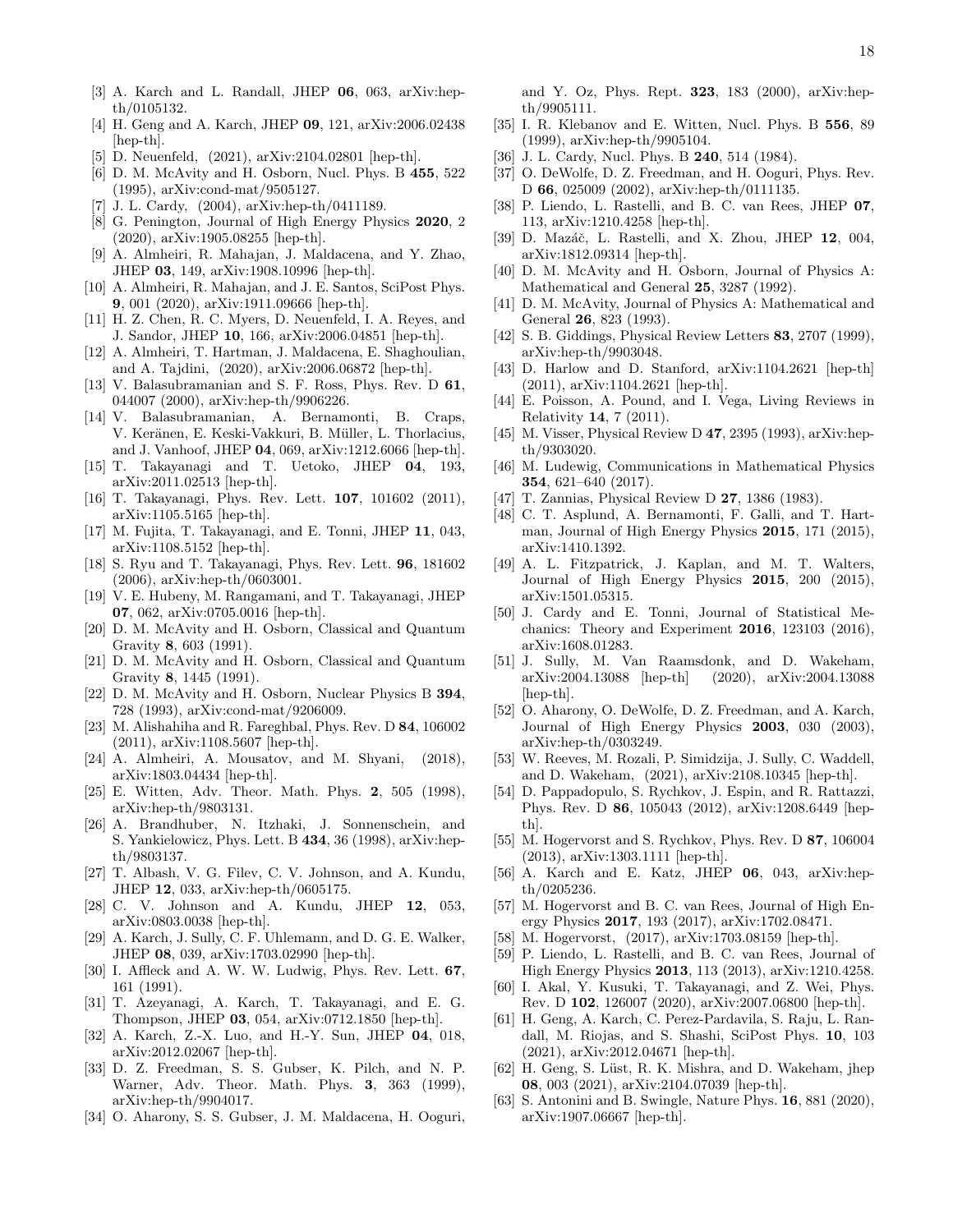- <span id="page-17-0"></span>[3] A. Karch and L. Randall, [JHEP](https://doi.org/10.1088/1126-6708/2001/06/063) 06, 063, [arXiv:hep](https://arxiv.org/abs/hep-th/0105132)[th/0105132.](https://arxiv.org/abs/hep-th/0105132)
- [4] H. Geng and A. Karch, [JHEP](https://doi.org/10.1007/JHEP09(2020)121) 09, 121, [arXiv:2006.02438](https://arxiv.org/abs/2006.02438) [\[hep-th\].](https://arxiv.org/abs/2006.02438)
- <span id="page-17-1"></span>D. Neuenfeld, (2021), [arXiv:2104.02801 \[hep-th\].](https://arxiv.org/abs/2104.02801)
- <span id="page-17-2"></span>[6] D. M. McAvity and H. Osborn, [Nucl. Phys. B](https://doi.org/10.1016/0550-3213(95)00476-9) 455, 522 [\(1995\),](https://doi.org/10.1016/0550-3213(95)00476-9) [arXiv:cond-mat/9505127.](https://arxiv.org/abs/cond-mat/9505127)
- <span id="page-17-3"></span>[7] J. L. Cardy, (2004), [arXiv:hep-th/0411189.](https://arxiv.org/abs/hep-th/0411189)
- <span id="page-17-4"></span>[8] G. Penington, [Journal of High Energy Physics](https://doi.org/10.1007/JHEP09(2020)002) 2020, 2 [\(2020\),](https://doi.org/10.1007/JHEP09(2020)002) [arXiv:1905.08255 \[hep-th\].](https://arxiv.org/abs/1905.08255)
- [9] A. Almheiri, R. Mahajan, J. Maldacena, and Y. Zhao, [JHEP](https://doi.org/10.1007/JHEP03(2020)149) 03, 149, [arXiv:1908.10996 \[hep-th\].](https://arxiv.org/abs/1908.10996)
- [10] A. Almheiri, R. Mahajan, and J. E. Santos, [SciPost Phys.](https://doi.org/10.21468/SciPostPhys.9.1.001) 9[, 001 \(2020\),](https://doi.org/10.21468/SciPostPhys.9.1.001) [arXiv:1911.09666 \[hep-th\].](https://arxiv.org/abs/1911.09666)
- [11] H. Z. Chen, R. C. Myers, D. Neuenfeld, I. A. Reyes, and J. Sandor, [JHEP](https://doi.org/10.1007/JHEP10(2020)166) 10, 166, [arXiv:2006.04851 \[hep-th\].](https://arxiv.org/abs/2006.04851)
- <span id="page-17-5"></span>[12] A. Almheiri, T. Hartman, J. Maldacena, E. Shaghoulian, and A. Tajdini, (2020), [arXiv:2006.06872 \[hep-th\].](https://arxiv.org/abs/2006.06872)
- <span id="page-17-6"></span>[13] V. Balasubramanian and S. F. Ross, [Phys. Rev. D](https://doi.org/10.1103/PhysRevD.61.044007) 61, [044007 \(2000\),](https://doi.org/10.1103/PhysRevD.61.044007) [arXiv:hep-th/9906226.](https://arxiv.org/abs/hep-th/9906226)
- <span id="page-17-7"></span>[14] V. Balasubramanian, A. Bernamonti, B. Craps, V. Keränen, E. Keski-Vakkuri, B. Müller, L. Thorlacius, and J. Vanhoof, [JHEP](https://doi.org/10.1007/JHEP04(2013)069) 04, 069, [arXiv:1212.6066 \[hep-th\].](https://arxiv.org/abs/1212.6066)
- <span id="page-17-8"></span>[15] T. Takayanagi and T. Uetoko, JHEP 04[, 193,](https://doi.org/10.1007/JHEP04(2021)193) [arXiv:2011.02513 \[hep-th\].](https://arxiv.org/abs/2011.02513)
- <span id="page-17-9"></span>[16] T. Takayanagi, [Phys. Rev. Lett.](https://doi.org/10.1103/PhysRevLett.107.101602) 107, 101602 (2011), [arXiv:1105.5165 \[hep-th\].](https://arxiv.org/abs/1105.5165)
- <span id="page-17-10"></span>[17] M. Fujita, T. Takayanagi, and E. Tonni, [JHEP](https://doi.org/10.1007/JHEP11(2011)043) 11, 043, [arXiv:1108.5152 \[hep-th\].](https://arxiv.org/abs/1108.5152)
- <span id="page-17-11"></span>[18] S. Ryu and T. Takayanagi, [Phys. Rev. Lett.](https://doi.org/10.1103/PhysRevLett.96.181602) 96, 181602 [\(2006\),](https://doi.org/10.1103/PhysRevLett.96.181602) [arXiv:hep-th/0603001.](https://arxiv.org/abs/hep-th/0603001)
- <span id="page-17-12"></span>[19] V. E. Hubeny, M. Rangamani, and T. Takayanagi, [JHEP](https://doi.org/10.1088/1126-6708/2007/07/062) 07[, 062,](https://doi.org/10.1088/1126-6708/2007/07/062) [arXiv:0705.0016 \[hep-th\].](https://arxiv.org/abs/0705.0016)
- <span id="page-17-13"></span>[20] D. M. McAvity and H. Osborn, [Classical and Quantum](https://doi.org/10.1088/0264-9381/8/4/008) Gravity 8[, 603 \(1991\).](https://doi.org/10.1088/0264-9381/8/4/008)
- [21] D. M. McAvity and H. Osborn, Classical and Quantum Gravity 8, 1445 (1991).
- <span id="page-17-14"></span>[22] D. M. McAvity and H. Osborn, Nuclear Physics B 394, 728 (1993), [arXiv:cond-mat/9206009.](https://arxiv.org/abs/cond-mat/9206009)
- <span id="page-17-15"></span>[23] M. Alishahiha and R. Fareghbal, [Phys. Rev. D](https://doi.org/10.1103/PhysRevD.84.106002) 84, 106002 [\(2011\),](https://doi.org/10.1103/PhysRevD.84.106002) [arXiv:1108.5607 \[hep-th\].](https://arxiv.org/abs/1108.5607)
- <span id="page-17-16"></span>[24] A. Almheiri, A. Mousatov, and M. Shyani, (2018), [arXiv:1803.04434 \[hep-th\].](https://arxiv.org/abs/1803.04434)
- <span id="page-17-17"></span>[25] E. Witten, [Adv. Theor. Math. Phys.](https://doi.org/10.4310/ATMP.1998.v2.n3.a3) 2, 505 (1998), [arXiv:hep-th/9803131.](https://arxiv.org/abs/hep-th/9803131)
- <span id="page-17-18"></span>[26] A. Brandhuber, N. Itzhaki, J. Sonnenschein, and S. Yankielowicz, [Phys. Lett. B](https://doi.org/10.1016/S0370-2693(98)00730-8) 434, 36 (1998), [arXiv:hep](https://arxiv.org/abs/hep-th/9803137)[th/9803137.](https://arxiv.org/abs/hep-th/9803137)
- <span id="page-17-19"></span>[27] T. Albash, V. G. Filev, C. V. Johnson, and A. Kundu, [JHEP](https://doi.org/10.1088/1126-6708/2008/12/033) 12, 033, [arXiv:hep-th/0605175.](https://arxiv.org/abs/hep-th/0605175)
- <span id="page-17-20"></span>[28] C. V. Johnson and A. Kundu, JHEP 12[, 053,](https://doi.org/10.1088/1126-6708/2008/12/053) [arXiv:0803.0038 \[hep-th\].](https://arxiv.org/abs/0803.0038)
- <span id="page-17-21"></span>[29] A. Karch, J. Sully, C. F. Uhlemann, and D. G. E. Walker, [JHEP](https://doi.org/10.1007/JHEP08(2017)039) 08, 039, [arXiv:1703.02990 \[hep-th\].](https://arxiv.org/abs/1703.02990)
- <span id="page-17-22"></span>[30] I. Affleck and A. W. W. Ludwig, [Phys. Rev. Lett.](https://doi.org/10.1103/PhysRevLett.67.161) 67, [161 \(1991\).](https://doi.org/10.1103/PhysRevLett.67.161)
- <span id="page-17-23"></span>[31] T. Azeyanagi, A. Karch, T. Takayanagi, and E. G. Thompson, [JHEP](https://doi.org/10.1088/1126-6708/2008/03/054) 03, 054, [arXiv:0712.1850 \[hep-th\].](https://arxiv.org/abs/0712.1850)
- <span id="page-17-24"></span>[32] A. Karch, Z.-X. Luo, and H.-Y. Sun, [JHEP](https://doi.org/10.1007/JHEP04(2021)018) 04, 018, [arXiv:2012.02067 \[hep-th\].](https://arxiv.org/abs/2012.02067)
- <span id="page-17-25"></span>[33] D. Z. Freedman, S. S. Gubser, K. Pilch, and N. P. Warner, [Adv. Theor. Math. Phys.](https://doi.org/10.4310/ATMP.1999.v3.n2.a7) 3, 363 (1999), [arXiv:hep-th/9904017.](https://arxiv.org/abs/hep-th/9904017)
- <span id="page-17-26"></span>[34] O. Aharony, S. S. Gubser, J. M. Maldacena, H. Ooguri,

and Y. Oz, Phys. Rept. 323[, 183 \(2000\),](https://doi.org/10.1016/S0370-1573(99)00083-6) [arXiv:hep](https://arxiv.org/abs/hep-th/9905111)[th/9905111.](https://arxiv.org/abs/hep-th/9905111)

- <span id="page-17-27"></span>[35] I. R. Klebanov and E. Witten, [Nucl. Phys. B](https://doi.org/10.1016/S0550-3213(99)00387-9) 556, 89 [\(1999\),](https://doi.org/10.1016/S0550-3213(99)00387-9) [arXiv:hep-th/9905104.](https://arxiv.org/abs/hep-th/9905104)
- <span id="page-17-28"></span>[36] J. L. Cardy, [Nucl. Phys. B](https://doi.org/10.1016/0550-3213(84)90241-4) **240**, 514 (1984).
- <span id="page-17-29"></span>[37] O. DeWolfe, D. Z. Freedman, and H. Ooguri, [Phys. Rev.](https://doi.org/10.1103/PhysRevD.66.025009) D 66[, 025009 \(2002\),](https://doi.org/10.1103/PhysRevD.66.025009) [arXiv:hep-th/0111135.](https://arxiv.org/abs/hep-th/0111135)
- <span id="page-17-30"></span>[38] P. Liendo, L. Rastelli, and B. C. van Rees, [JHEP](https://doi.org/10.1007/JHEP07(2013)113) 07, [113,](https://doi.org/10.1007/JHEP07(2013)113) [arXiv:1210.4258 \[hep-th\].](https://arxiv.org/abs/1210.4258)
- <span id="page-17-31"></span>[39] D. Mazáč, L. Rastelli, and X. Zhou, [JHEP](https://doi.org/10.1007/JHEP12(2019)004) 12, 004, [arXiv:1812.09314 \[hep-th\].](https://arxiv.org/abs/1812.09314)
- <span id="page-17-32"></span>[40] D. M. McAvity and H. Osborn, Journal of Physics A: Mathematical and General 25, 3287 (1992).
- <span id="page-17-33"></span>[41] D. M. McAvity, Journal of Physics A: Mathematical and General 26, 823 (1993).
- <span id="page-17-34"></span>[42] S. B. Giddings, Physical Review Letters 83, 2707 (1999), [arXiv:hep-th/9903048.](https://arxiv.org/abs/hep-th/9903048)
- <span id="page-17-35"></span>[43] D. Harlow and D. Stanford, arXiv:1104.2621 [hep-th] (2011), [arXiv:1104.2621 \[hep-th\].](https://arxiv.org/abs/1104.2621)
- <span id="page-17-36"></span>[44] E. Poisson, A. Pound, and I. Vega, Living Reviews in Relativity 14, 7 (2011).
- <span id="page-17-37"></span>[45] M. Visser, Physical Review D 47, 2395 (1993), [arXiv:hep](https://arxiv.org/abs/hep-th/9303020)[th/9303020.](https://arxiv.org/abs/hep-th/9303020)
- <span id="page-17-38"></span>[46] M. Ludewig, [Communications in Mathematical Physics](https://doi.org/10.1007/s00220-017-2915-9) 354[, 621–640 \(2017\).](https://doi.org/10.1007/s00220-017-2915-9)
- <span id="page-17-39"></span>[47] T. Zannias, Physical Review D **27**, 1386 (1983).
- <span id="page-17-40"></span>[48] C. T. Asplund, A. Bernamonti, F. Galli, and T. Hartman, Journal of High Energy Physics 2015, 171 (2015), [arXiv:1410.1392.](https://arxiv.org/abs/1410.1392)
- <span id="page-17-41"></span>[49] A. L. Fitzpatrick, J. Kaplan, and M. T. Walters, Journal of High Energy Physics 2015, 200 (2015), [arXiv:1501.05315.](https://arxiv.org/abs/1501.05315)
- <span id="page-17-42"></span>[50] J. Cardy and E. Tonni, Journal of Statistical Mechanics: Theory and Experiment 2016, 123103 (2016), [arXiv:1608.01283.](https://arxiv.org/abs/1608.01283)
- <span id="page-17-43"></span>[51] J. Sully, M. Van Raamsdonk, and D. Wakeham, arXiv:2004.13088 [hep-th] (2020), [arXiv:2004.13088](https://arxiv.org/abs/2004.13088) [\[hep-th\].](https://arxiv.org/abs/2004.13088)
- <span id="page-17-44"></span>[52] O. Aharony, O. DeWolfe, D. Z. Freedman, and A. Karch, Journal of High Energy Physics 2003, 030 (2003), [arXiv:hep-th/0303249.](https://arxiv.org/abs/hep-th/0303249)
- <span id="page-17-45"></span>[53] W. Reeves, M. Rozali, P. Simidzija, J. Sully, C. Waddell, and D. Wakeham, (2021), [arXiv:2108.10345 \[hep-th\].](https://arxiv.org/abs/2108.10345)
- <span id="page-17-46"></span>[54] D. Pappadopulo, S. Rychkov, J. Espin, and R. Rattazzi, Phys. Rev. D 86[, 105043 \(2012\),](https://doi.org/10.1103/PhysRevD.86.105043) [arXiv:1208.6449 \[hep](https://arxiv.org/abs/1208.6449)[th\].](https://arxiv.org/abs/1208.6449)
- <span id="page-17-47"></span>[55] M. Hogervorst and S. Rychkov, [Phys. Rev. D](https://doi.org/10.1103/PhysRevD.87.106004) 87, 106004 [\(2013\),](https://doi.org/10.1103/PhysRevD.87.106004) [arXiv:1303.1111 \[hep-th\].](https://arxiv.org/abs/1303.1111)
- <span id="page-17-48"></span>[56] A. Karch and E. Katz, [JHEP](https://doi.org/10.1088/1126-6708/2002/06/043) 06, 043, [arXiv:hep](https://arxiv.org/abs/hep-th/0205236)[th/0205236.](https://arxiv.org/abs/hep-th/0205236)
- <span id="page-17-49"></span>[57] M. Hogervorst and B. C. van Rees, Journal of High Energy Physics 2017, 193 (2017), [arXiv:1702.08471.](https://arxiv.org/abs/1702.08471)
- <span id="page-17-50"></span>[58] M. Hogervorst, (2017), [arXiv:1703.08159 \[hep-th\].](https://arxiv.org/abs/1703.08159)
- <span id="page-17-51"></span>[59] P. Liendo, L. Rastelli, and B. C. van Rees, Journal of High Energy Physics 2013, 113 (2013), [arXiv:1210.4258.](https://arxiv.org/abs/1210.4258)
- <span id="page-17-52"></span>[60] I. Akal, Y. Kusuki, T. Takayanagi, and Z. Wei, [Phys.](https://doi.org/10.1103/PhysRevD.102.126007) Rev. D 102[, 126007 \(2020\),](https://doi.org/10.1103/PhysRevD.102.126007) [arXiv:2007.06800 \[hep-th\].](https://arxiv.org/abs/2007.06800)
- [61] H. Geng, A. Karch, C. Perez-Pardavila, S. Raju, L. Randall, M. Riojas, and S. Shashi, [SciPost Phys.](https://doi.org/10.21468/SciPostPhys.10.5.103) 10, 103 [\(2021\),](https://doi.org/10.21468/SciPostPhys.10.5.103) [arXiv:2012.04671 \[hep-th\].](https://arxiv.org/abs/2012.04671)
- <span id="page-17-53"></span>[62] H. Geng, S. Lüst, R. K. Mishra, and D. Wakeham, [jhep](https://doi.org/10.1007/JHEP08(2021)003) 08[, 003 \(2021\),](https://doi.org/10.1007/JHEP08(2021)003) [arXiv:2104.07039 \[hep-th\].](https://arxiv.org/abs/2104.07039)
- <span id="page-17-54"></span>[63] S. Antonini and B. Swingle, [Nature Phys.](https://doi.org/10.1038/s41567-020-0909-6) 16, 881 (2020), [arXiv:1907.06667 \[hep-th\].](https://arxiv.org/abs/1907.06667)